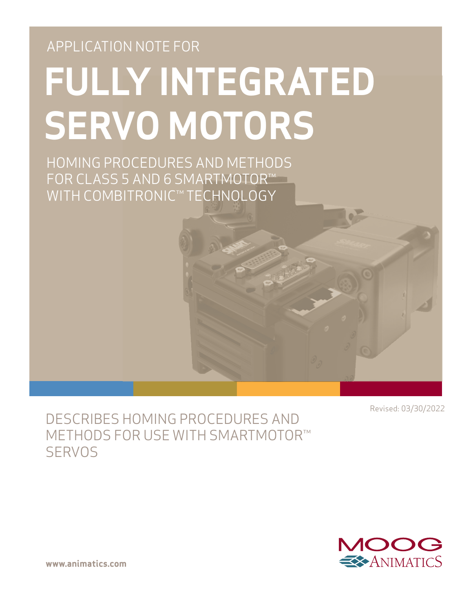# APPLICATION NOTE FOR **FULLY INTEGRATED SERVO MOTORS**

HOMING PROCEDURES AND METHODS FOR CLASS 5 AND 6 SMARTMOTOR™ WITH COMBITRONIC™ TECHNOLOGY

Revised: 03/30/2022

# DESCRIBES HOMING PROCEDURES AND METHODS FOR USE WITH SMARTMOTOR™ **SERVOS**



**www.animatics.com**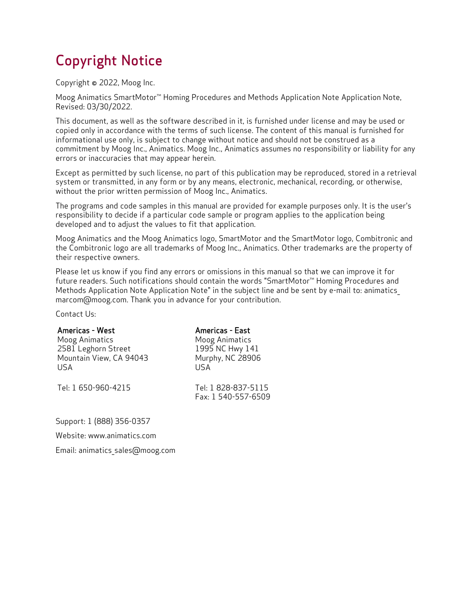# Copyright Notice

Copyright © 2022, Moog Inc.

Moog Animatics SmartMotor<sup>™</sup> Homing Procedures and Methods Application Note Application Note, Revised: 03/30/2022.

This document, as well as the software described in it, is furnished under license and may be used or copied only in accordance with the terms of such license. The content of this manual is furnished for informational use only, is subject to change without notice and should not be construed as a commitment by Moog Inc., Animatics. Moog Inc., Animatics assumes no responsibility or liability for any errors or inaccuracies that may appear herein.

Except as permitted by such license, no part of this publication may be reproduced, stored in a retrieval system or transmitted, in any form or by any means, electronic, mechanical, recording, or otherwise, without the prior written permission of Moog Inc., Animatics.

The programs and code samples in this manual are provided for example purposes only. It is the user's responsibility to decide if a particular code sample or program applies to the application being developed and to adjust the values to fit that application.

Moog Animatics and the Moog Animatics logo, SmartMotor and the SmartMotor logo, Combitronic and the Combitronic logo are all trademarks of Moog Inc., Animatics. Other trademarks are the property of their respective owners.

Please let us know if you find any errors or omissions in this manual so that we can improve it for future readers. Such notifications should contain the words "SmartMotor™ Homing Procedures and Methods Application Note Application Note" in the subject line and be sent by e-mail to: animatics\_ marcom@moog.com. Thank you in advance for your contribution.

Contact Us:

| <b>Americas - West</b>  | Americas - East                            |
|-------------------------|--------------------------------------------|
| Moog Animatics          | Moog Animatics                             |
| 2581 Leghorn Street     | 1995 NC Hwy 141                            |
| Mountain View, CA 94043 | Murphy, NC 28906                           |
| USA                     | LISA                                       |
| Tel: 1 650-960-4215     | Tel: 1 828-837-5115<br>Fax: 1 540-557-6509 |

Support: 1 (888) 356-0357

Website: www.animatics.com

Email: animatics\_sales@moog.com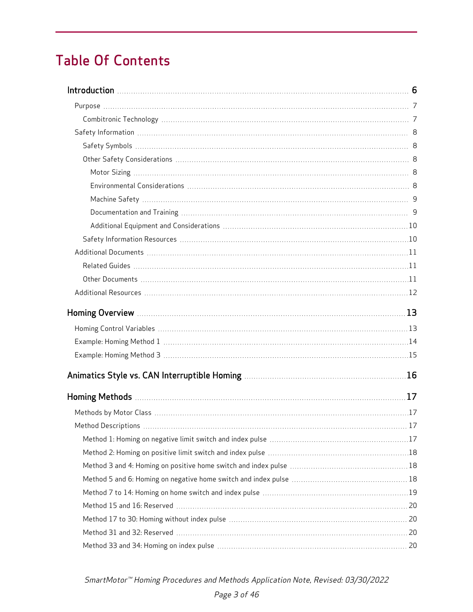# Table Of Contents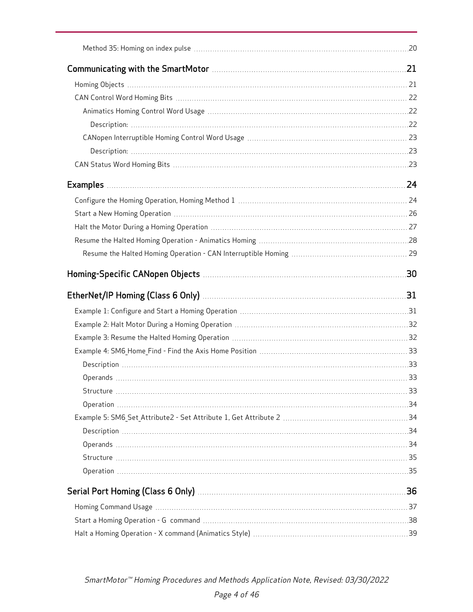| EtherNet/IP Homing (Class 6 Only) <b>Manual Example 2018</b> 2014 2015 |  |
|------------------------------------------------------------------------|--|
|                                                                        |  |
|                                                                        |  |
|                                                                        |  |
|                                                                        |  |
|                                                                        |  |
|                                                                        |  |
|                                                                        |  |
|                                                                        |  |
|                                                                        |  |
|                                                                        |  |
|                                                                        |  |
|                                                                        |  |
|                                                                        |  |
|                                                                        |  |
|                                                                        |  |
|                                                                        |  |
|                                                                        |  |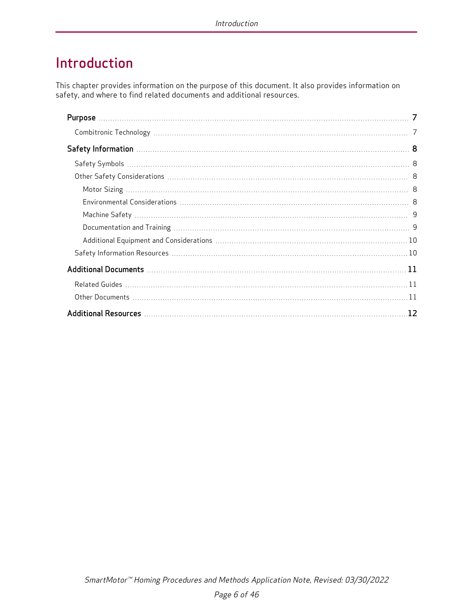# <span id="page-5-0"></span>Introduction

This chapter provides information on the purpose of this document. It also provides information on safety, and where to find related documents and additional resources.

| 12 |  |
|----|--|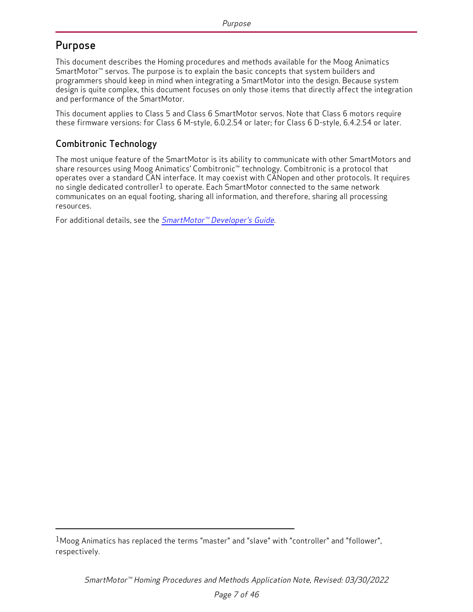### <span id="page-6-0"></span>Purpose

This document describes the Homing procedures and methods available for the Moog Animatics SmartMotor™ servos. The purpose is to explain the basic concepts that system builders and programmers should keep in mind when integrating a SmartMotor into the design. Because system design is quite complex, this document focuses on only those items that directly affect the integration and performance of the SmartMotor.

This document applies to Class 5 and Class 6 SmartMotor servos. Note that Class 6 motors require these firmware versions: for Class 6 M-style, 6.0.2.54 or later; for Class 6 D-style, 6.4.2.54 or later.

#### <span id="page-6-1"></span>Combitronic Technology

The most unique feature of the SmartMotor is its ability to communicate with other SmartMotors and share resources using Moog Animatics' Combitronic™ technology. Combitronic is a protocol that operates over a standard CAN interface. It may coexist with CANopen and other protocols. It requires no single dedicated controller<sup>1</sup> to operate. Each SmartMotor connected to the same network communicates on an equal footing, sharing all information, and therefore, sharing all processing resources.

For additional details, see the SmartMotor™ [Developer's](http://www.animatics.com/smartmotor-developers-guide) Guide.

 $1$ Moog Animatics has replaced the terms "master" and "slave" with "controller" and "follower". respectively.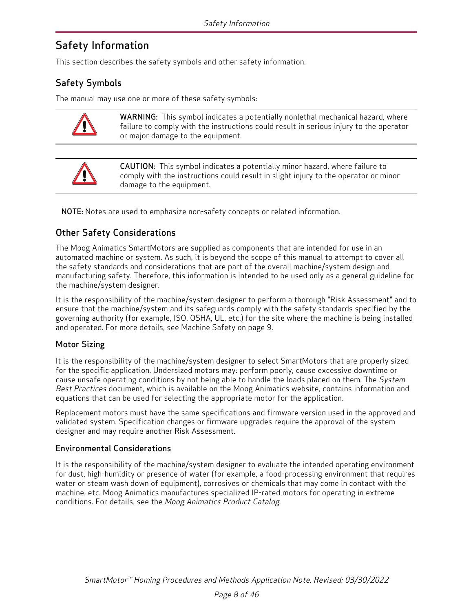### <span id="page-7-0"></span>Safety Information

<span id="page-7-1"></span>This section describes the safety symbols and other safety information.

#### Safety Symbols

The manual may use one or more of these safety symbols:



WARNING: This symbol indicates a potentially nonlethal mechanical hazard, where failure to comply with the instructions could result in serious injury to the operator or major damage to the equipment.



CAUTION: This symbol indicates a potentially minor hazard, where failure to comply with the instructions could result in slight injury to the operator or minor damage to the equipment.

<span id="page-7-2"></span>NOTE: Notes are used to emphasize non-safety concepts or related information.

#### Other Safety Considerations

The Moog Animatics SmartMotors are supplied as components that are intended for use in an automated machine or system. As such, it is beyond the scope of this manual to attempt to cover all the safety standards and considerations that are part of the overall machine/system design and manufacturing safety. Therefore, this information is intended to be used only as a general guideline for the machine/system designer.

It is the responsibility of the machine/system designer to perform a thorough "Risk Assessment" and to ensure that the machine/system and its safeguards comply with the safety standards specified by the governing authority (for example, ISO, OSHA, UL, etc.) for the site where the machine is being installed and operated. For more details, see [Machine](#page-8-0) Safety on page 9.

#### <span id="page-7-3"></span>Motor Sizing

It is the responsibility of the machine/system designer to select SmartMotors that are properly sized for the specific application. Undersized motors may: perform poorly, cause excessive downtime or cause unsafe operating conditions by not being able to handle the loads placed on them. The System Best Practices document, which is available on the Moog Animatics website, contains information and equations that can be used for selecting the appropriate motor for the application.

Replacement motors must have the same specifications and firmware version used in the approved and validated system. Specification changes or firmware upgrades require the approval of the system designer and may require another Risk Assessment.

#### <span id="page-7-4"></span>Environmental Considerations

It is the responsibility of the machine/system designer to evaluate the intended operating environment for dust, high-humidity or presence of water (for example, a food-processing environment that requires water or steam wash down of equipment), corrosives or chemicals that may come in contact with the machine, etc. Moog Animatics manufactures specialized IP-rated motors for operating in extreme conditions. For details, see the Moog Animatics Product Catalog.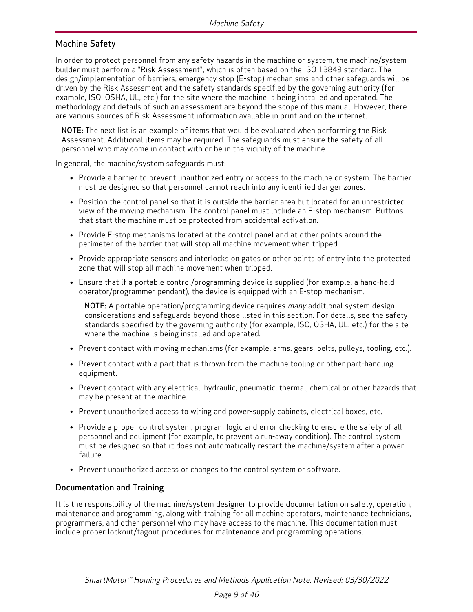#### <span id="page-8-0"></span>Machine Safety

In order to protect personnel from any safety hazards in the machine or system, the machine/system builder must perform a "Risk Assessment", which is often based on the ISO 13849 standard. The design/implementation of barriers, emergency stop (E-stop) mechanisms and other safeguards will be driven by the Risk Assessment and the safety standards specified by the governing authority (for example, ISO, OSHA, UL, etc.) for the site where the machine is being installed and operated. The methodology and details of such an assessment are beyond the scope of this manual. However, there are various sources of Risk Assessment information available in print and on the internet.

NOTE: The next list is an example of items that would be evaluated when performing the Risk Assessment. Additional items may be required. The safeguards must ensure the safety of all personnel who may come in contact with or be in the vicinity of the machine.

In general, the machine/system safeguards must:

- Provide a barrier to prevent unauthorized entry or access to the machine or system. The barrier must be designed so that personnel cannot reach into any identified danger zones.
- Position the control panel so that it is outside the barrier area but located for an unrestricted view of the moving mechanism. The control panel must include an E-stop mechanism. Buttons that start the machine must be protected from accidental activation.
- Provide E-stop mechanisms located at the control panel and at other points around the perimeter of the barrier that will stop all machine movement when tripped.
- Provide appropriate sensors and interlocks on gates or other points of entry into the protected zone that will stop all machine movement when tripped.
- Ensure that if a portable control/programming device is supplied (for example, a hand-held operator/programmer pendant), the device is equipped with an E-stop mechanism.

NOTE: A portable operation/programming device requires many additional system design considerations and safeguards beyond those listed in this section. For details, see the safety standards specified by the governing authority (for example, ISO, OSHA, UL, etc.) for the site where the machine is being installed and operated.

- Prevent contact with moving mechanisms (for example, arms, gears, belts, pulleys, tooling, etc.).
- Prevent contact with a part that is thrown from the machine tooling or other part-handling equipment.
- Prevent contact with any electrical, hydraulic, pneumatic, thermal, chemical or other hazards that may be present at the machine.
- Prevent unauthorized access to wiring and power-supply cabinets, electrical boxes, etc.
- Provide a proper control system, program logic and error checking to ensure the safety of all personnel and equipment (for example, to prevent a run-away condition). The control system must be designed so that it does not automatically restart the machine/system after a power failure.
- Prevent unauthorized access or changes to the control system or software.

#### <span id="page-8-1"></span>Documentation and Training

It is the responsibility of the machine/system designer to provide documentation on safety, operation, maintenance and programming, along with training for all machine operators, maintenance technicians, programmers, and other personnel who may have access to the machine. This documentation must include proper lockout/tagout procedures for maintenance and programming operations.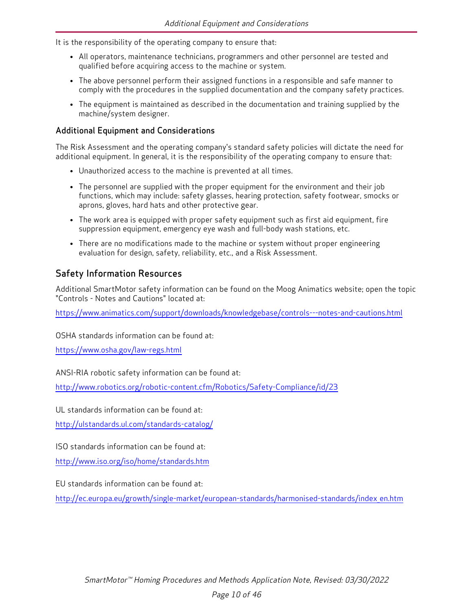It is the responsibility of the operating company to ensure that:

- All operators, maintenance technicians, programmers and other personnel are tested and qualified before acquiring access to the machine or system.
- The above personnel perform their assigned functions in a responsible and safe manner to comply with the procedures in the supplied documentation and the company safety practices.
- The equipment is maintained as described in the documentation and training supplied by the machine/system designer.

#### <span id="page-9-0"></span>Additional Equipment and Considerations

The Risk Assessment and the operating company's standard safety policies will dictate the need for additional equipment. In general, it is the responsibility of the operating company to ensure that:

- Unauthorized access to the machine is prevented at all times.
- The personnel are supplied with the proper equipment for the environment and their job functions, which may include: safety glasses, hearing protection, safety footwear, smocks or aprons, gloves, hard hats and other protective gear.
- The work area is equipped with proper safety equipment such as first aid equipment, fire suppression equipment, emergency eye wash and full-body wash stations, etc.
- There are no modifications made to the machine or system without proper engineering evaluation for design, safety, reliability, etc., and a Risk Assessment.

#### <span id="page-9-1"></span>Safety Information Resources

Additional SmartMotor safety information can be found on the Moog Animatics website; open the topic "Controls - Notes and Cautions" located at:

<https://www.animatics.com/support/downloads/knowledgebase/controls---notes-and-cautions.html>

OSHA standards information can be found at:

<https://www.osha.gov/law-regs.html>

ANSI-RIA robotic safety information can be found at:

<http://www.robotics.org/robotic-content.cfm/Robotics/Safety-Compliance/id/23>

UL standards information can be found at:

<http://ulstandards.ul.com/standards-catalog/>

ISO standards information can be found at:

<http://www.iso.org/iso/home/standards.htm>

EU standards information can be found at:

[http://ec.europa.eu/growth/single-market/european-standards/harmonised-standards/index\\_en.htm](http://ec.europa.eu/growth/single-market/european-standards/harmonised-standards/index_en.htm)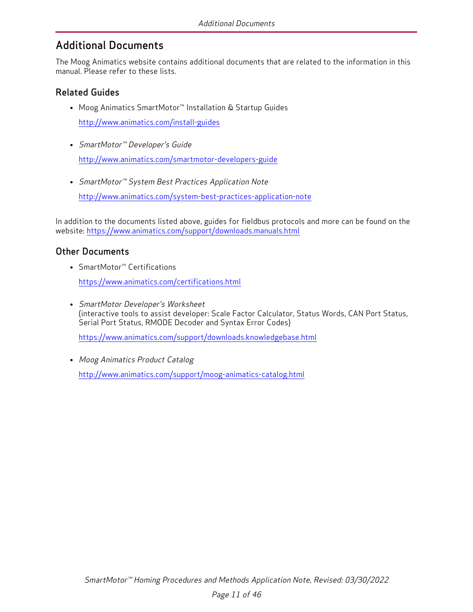### <span id="page-10-0"></span>Additional Documents

The Moog Animatics website contains additional documents that are related to the information in this manual. Please refer to these lists.

#### <span id="page-10-1"></span>Related Guides

- Moog Animatics SmartMotor™ Installation & Startup Guides <http://www.animatics.com/install-guides>
- SmartMotor™ Developer's Guide <http://www.animatics.com/smartmotor-developers-guide>
- SmartMotor™ System Best Practices Application Note

<http://www.animatics.com/system-best-practices-application-note>

In addition to the documents listed above, guides for fieldbus protocols and more can be found on the website: <https://www.animatics.com/support/downloads.manuals.html>

#### <span id="page-10-2"></span>Other Documents

- SmartMotor™ Certifications <https://www.animatics.com/certifications.html>
- SmartMotor Developer's Worksheet (interactive tools to assist developer: Scale Factor Calculator, Status Words, CAN Port Status, Serial Port Status, RMODE Decoder and Syntax Error Codes)

<https://www.animatics.com/support/downloads.knowledgebase.html>

• Moog Animatics Product Catalog <http://www.animatics.com/support/moog-animatics-catalog.html>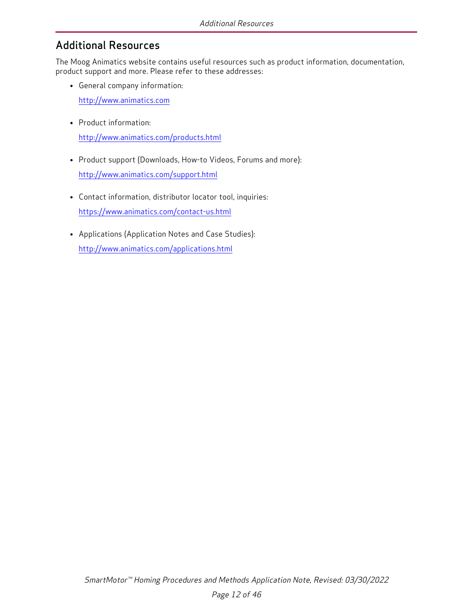## <span id="page-11-0"></span>Additional Resources

The Moog Animatics website contains useful resources such as product information, documentation, product support and more. Please refer to these addresses:

• General company information:

[http://www.animatics.com](http://www.animatics.com/)

- Product information: <http://www.animatics.com/products.html>
- Product support (Downloads, How-to Videos, Forums and more): <http://www.animatics.com/support.html>
- Contact information, distributor locator tool, inquiries: <https://www.animatics.com/contact-us.html>
- Applications (Application Notes and Case Studies): <http://www.animatics.com/applications.html>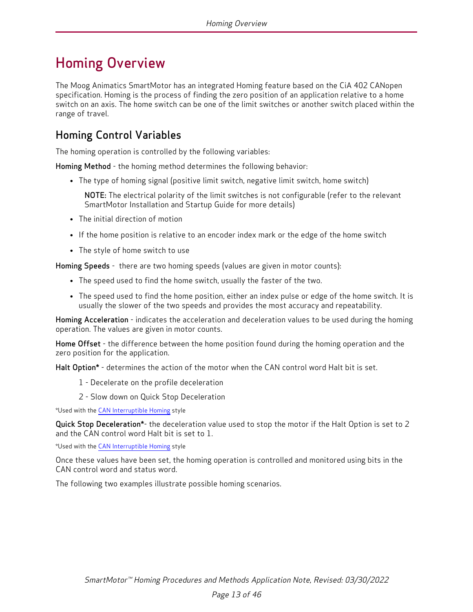# <span id="page-12-0"></span>Homing Overview

The Moog Animatics SmartMotor has an integrated Homing feature based on the CiA 402 CANopen specification. Homing is the process of finding the zero position of an application relative to a home switch on an axis. The home switch can be one of the limit switches or another switch placed within the range of travel.

## <span id="page-12-1"></span>Homing Control Variables

The homing operation is controlled by the following variables:

Homing Method - the homing method determines the following behavior:

• The type of homing signal (positive limit switch, negative limit switch, home switch)

NOTE: The electrical polarity of the limit switches is not configurable (refer to the relevant SmartMotor Installation and Startup Guide for more details)

- The initial direction of motion
- If the home position is relative to an encoder index mark or the edge of the home switch
- The style of home switch to use

Homing Speeds - there are two homing speeds (values are given in motor counts):

- The speed used to find the home switch, usually the faster of the two.
- The speed used to find the home position, either an index pulse or edge of the home switch. It is usually the slower of the two speeds and provides the most accuracy and repeatability.

Homing Acceleration - indicates the acceleration and deceleration values to be used during the homing operation. The values are given in motor counts.

Home Offset - the difference between the home position found during the homing operation and the zero position for the application.

Halt Option\* - determines the action of the motor when the CAN control word Halt bit is set.

- 1 Decelerate on the profile deceleration
- 2 Slow down on Quick Stop Deceleration

\*Used with the CAN [Interruptible](#page-15-0) Homing style

Quick Stop Deceleration\*- the deceleration value used to stop the motor if the Halt Option is set to 2 and the CAN control word Halt bit is set to 1.

\*Used with the CAN [Interruptible](#page-15-0) Homing style

Once these values have been set, the homing operation is controlled and monitored using bits in the CAN control word and status word.

The following two examples illustrate possible homing scenarios.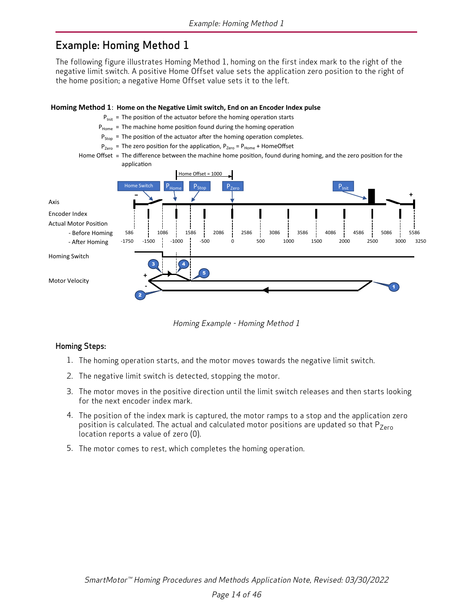### <span id="page-13-0"></span>Example: Homing Method 1

The following figure illustrates Homing Method 1, homing on the first index mark to the right of the negative limit switch. A positive Home Offset value sets the application zero position to the right of the home position; a negative Home Offset value sets it to the left.

#### **Homing Method 1: Home on the Negative Limit switch, End on an Encoder Index pulse**

- P<sub>Init</sub> = The position of the actuator before the homing operation starts
- $P_{Home}$  = The machine home position found during the homing operation
- $P_{Stop}$  = The position of the actuator after the homing operation completes.
- $P_{\text{Zero}}$  = The zero position for the application,  $P_{\text{Zero}}$  =  $P_{\text{Home}}$  + HomeOffset
- Home Offset = The difference between the machine home position, found during homing, and the zero position for the application



Homing Example - Homing Method 1

#### Homing Steps:

- 1. The homing operation starts, and the motor moves towards the negative limit switch.
- 2. The negative limit switch is detected, stopping the motor.
- 3. The motor moves in the positive direction until the limit switch releases and then starts looking for the next encoder index mark.
- 4. The position of the index mark is captured, the motor ramps to a stop and the application zero position is calculated. The actual and calculated motor positions are updated so that  $P_{Zero}$ location reports a value of zero (0).
- 5. The motor comes to rest, which completes the homing operation.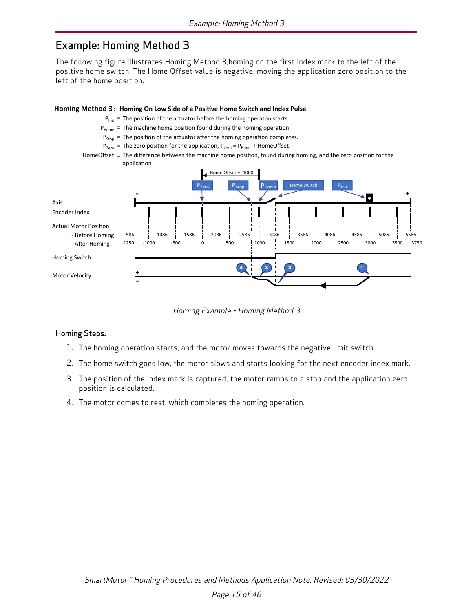### <span id="page-14-0"></span>Example: Homing Method 3

The following figure illustrates Homing Method 3,homing on the first index mark to the left of the positive home switch. The Home Offset value is negative, moving the application zero position to the left of the home position.



Homing Example - Homing Method 3

#### Homing Steps:

- 1. The homing operation starts, and the motor moves towards the negative limit switch.
- 2. The home switch goes low, the motor slows and starts looking for the next encoder index mark.
- 3. The position of the index mark is captured, the motor ramps to a stop and the application zero position is calculated.
- 4. The motor comes to rest, which completes the homing operation.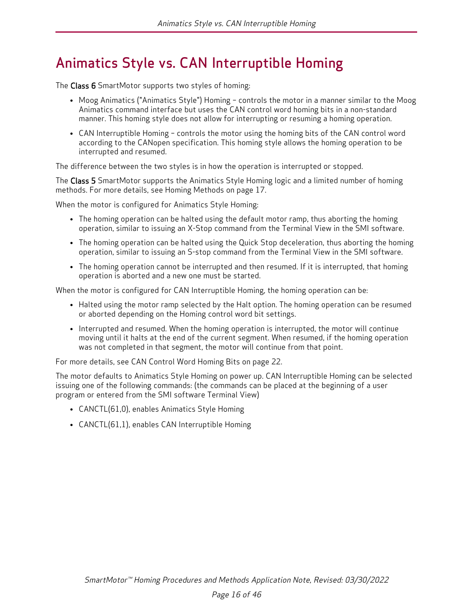# <span id="page-15-0"></span>Animatics Style vs. CAN Interruptible Homing

The Class 6 SmartMotor supports two styles of homing:

- Moog Animatics ("Animatics Style") Homing controls the motor in a manner similar to the Moog Animatics command interface but uses the CAN control word homing bits in a non-standard manner. This homing style does not allow for interrupting or resuming a homing operation.
- CAN Interruptible Homing controls the motor using the homing bits of the CAN control word according to the CANopen specification. This homing style allows the homing operation to be interrupted and resumed.

The difference between the two styles is in how the operation is interrupted or stopped.

The Class 5 SmartMotor supports the Animatics Style Homing logic and a limited number of homing methods. For more details, see Homing [Methods](#page-16-0) on page 17.

When the motor is configured for Animatics Style Homing:

- The homing operation can be halted using the default motor ramp, thus aborting the homing operation, similar to issuing an X-Stop command from the Terminal View in the SMI software.
- The homing operation can be halted using the Quick Stop deceleration, thus aborting the homing operation, similar to issuing an S-stop command from the Terminal View in the SMI software.
- The homing operation cannot be interrupted and then resumed. If it is interrupted, that homing operation is aborted and a new one must be started.

When the motor is configured for CAN Interruptible Homing, the homing operation can be:

- Halted using the motor ramp selected by the Halt option. The homing operation can be resumed or aborted depending on the Homing control word bit settings.
- Interrupted and resumed. When the homing operation is interrupted, the motor will continue moving until it halts at the end of the current segment. When resumed, if the homing operation was not completed in that segment, the motor will continue from that point.

For more details, see CAN Control Word [Homing](#page-21-0) Bits on page 22.

The motor defaults to Animatics Style Homing on power up. CAN Interruptible Homing can be selected issuing one of the following commands: (the commands can be placed at the beginning of a user program or entered from the SMI software Terminal View)

- CANCTL(61,0), enables Animatics Style Homing
- CANCTL(61,1), enables CAN Interruptible Homing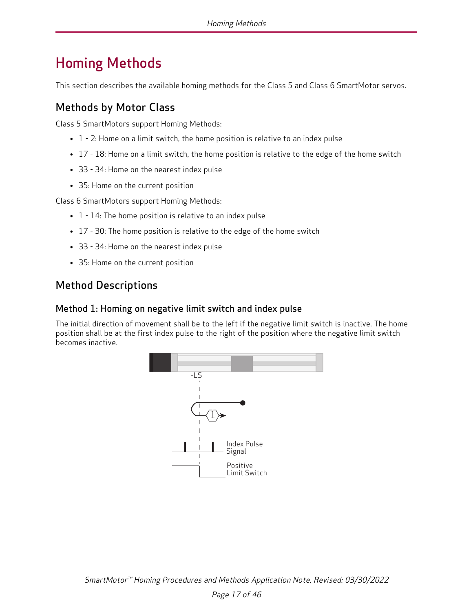# <span id="page-16-0"></span>Homing Methods

<span id="page-16-1"></span>This section describes the available homing methods for the Class 5 and Class 6 SmartMotor servos.

### Methods by Motor Class

Class 5 SmartMotors support Homing Methods:

- $\bullet$  1 2: Home on a limit switch, the home position is relative to an index pulse
- 17 18: Home on a limit switch, the home position is relative to the edge of the home switch
- 33 34: Home on the nearest index pulse
- 35: Home on the current position

Class 6 SmartMotors support Homing Methods:

- $\bullet$  1 14: The home position is relative to an index pulse
- 17 30: The home position is relative to the edge of the home switch
- 33 34: Home on the nearest index pulse
- 35: Home on the current position

## <span id="page-16-2"></span>Method Descriptions

#### <span id="page-16-3"></span>Method 1: Homing on negative limit switch and index pulse

The initial direction of movement shall be to the left if the negative limit switch is inactive. The home position shall be at the first index pulse to the right of the position where the negative limit switch becomes inactive.

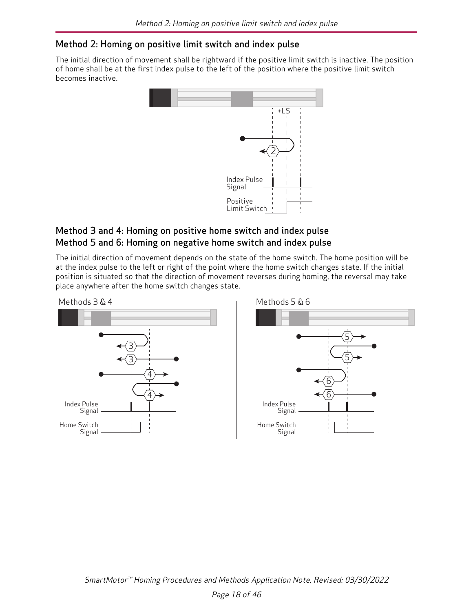#### <span id="page-17-0"></span>Method 2: Homing on positive limit switch and index pulse

The initial direction of movement shall be rightward if the positive limit switch is inactive. The position of home shall be at the first index pulse to the left of the position where the positive limit switch becomes inactive.



#### <span id="page-17-2"></span><span id="page-17-1"></span>Method 3 and 4: Homing on positive home switch and index pulse Method 5 and 6: Homing on negative home switch and index pulse

The initial direction of movement depends on the state of the home switch. The home position will be at the index pulse to the left or right of the point where the home switch changes state. If the initial position is situated so that the direction of movement reverses during homing, the reversal may take place anywhere after the home switch changes state.

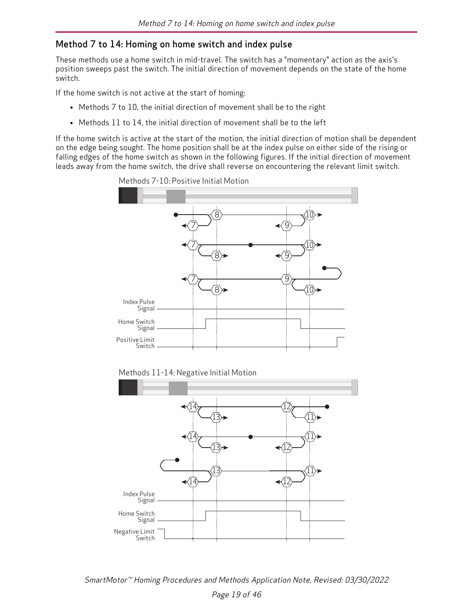#### <span id="page-18-0"></span>Method 7 to 14: Homing on home switch and index pulse

These methods use a home switch in mid-travel. The switch has a "momentary" action as the axis's position sweeps past the switch. The initial direction of movement depends on the state of the home switch.

If the home switch is not active at the start of homing:

- Methods 7 to 10, the initial direction of movement shall be to the right
- Methods 11 to 14, the initial direction of movement shall be to the left

If the home switch is active at the start of the motion, the initial direction of motion shall be dependent on the edge being sought. The home position shall be at the index pulse on either side of the rising or falling edges of the home switch as shown in the following figures. If the initial direction of movement leads away from the home switch, the drive shall reverse on encountering the relevant limit switch.



Methods 7-10: Positive Initial Motion



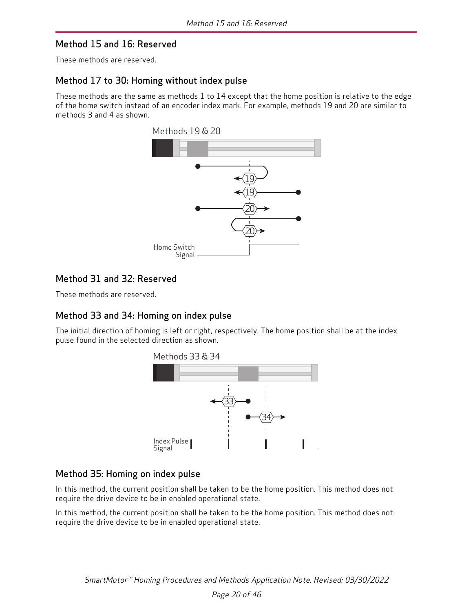#### <span id="page-19-0"></span>Method 15 and 16: Reserved

<span id="page-19-1"></span>These methods are reserved.

#### Method 17 to 30: Homing without index pulse

These methods are the same as methods 1 to 14 except that the home position is relative to the edge of the home switch instead of an encoder index mark. For example, methods 19 and 20 are similar to methods 3 and 4 as shown.



#### <span id="page-19-2"></span>Method 31 and 32: Reserved

<span id="page-19-3"></span>These methods are reserved.

#### Method 33 and 34: Homing on index pulse

The initial direction of homing is left or right, respectively. The home position shall be at the index pulse found in the selected direction as shown.



#### <span id="page-19-4"></span>Method 35: Homing on index pulse

In this method, the current position shall be taken to be the home position. This method does not require the drive device to be in enabled operational state.

In this method, the current position shall be taken to be the home position. This method does not require the drive device to be in enabled operational state.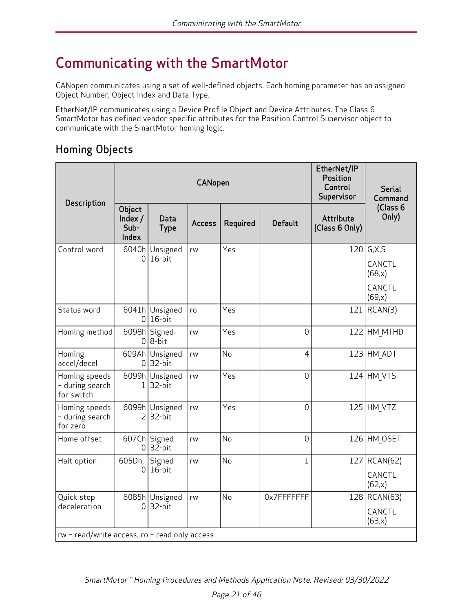# <span id="page-20-0"></span>Communicating with the SmartMotor

CANopen communicates using a set of well-defined objects. Each homing parameter has an assigned Object Number, Object Index and Data Type.

EtherNet/IP communicates using a Device Profile Object and Device Attributes. The Class 6 SmartMotor has defined vendor specific attributes for the Position Control Supervisor object to communicate with the SmartMotor homing logic.

# <span id="page-20-1"></span>Homing Objects

| Description                                                                   |                                    |                             | EtherNet/IP<br>Position<br>Control<br>Supervisor | <b>Serial</b><br>Command |                |                                    |                                                       |  |
|-------------------------------------------------------------------------------|------------------------------------|-----------------------------|--------------------------------------------------|--------------------------|----------------|------------------------------------|-------------------------------------------------------|--|
|                                                                               | Object<br>Index /<br>Sub-<br>Index | Data<br><b>Type</b>         | <b>Access</b>                                    | Required                 | <b>Default</b> | <b>Attribute</b><br>(Class 6 Only) | (Class 6<br>Only)                                     |  |
| Control word                                                                  | 6040h<br>0                         | Unsigned<br>16-bit          | rw                                               | Yes                      |                |                                    | $120$ G,X,S<br>CANCTL<br>(68, x)<br>CANCTL<br>(69, x) |  |
| Status word                                                                   | 0                                  | 6041h Unsigned<br>$16$ -bit | ro                                               | Yes                      |                | 121                                | RCAN(3)                                               |  |
| Homing method                                                                 |                                    | 6098h Signed<br>$0 8-bit$   | rw                                               | Yes                      | $\overline{0}$ |                                    | 122 HM MTHD                                           |  |
| Homing<br>accel/decel                                                         | 609Ah<br>0                         | Unsigned<br>32-bit          | rw                                               | No                       | $\overline{4}$ |                                    | $123$ HM ADT                                          |  |
| Homing speeds<br>- during search<br>for switch                                | 6099h<br>1                         | Unsigned<br>32-bit          | rw                                               | Yes                      | $\overline{0}$ |                                    | 124 HM VTS                                            |  |
| Homing speeds<br>- during search<br>for zero                                  | $\overline{2}$                     | 6099h Unsigned<br>32-bit    | rw                                               | Yes                      | $\overline{0}$ |                                    | 125 HM VTZ                                            |  |
| Home offset                                                                   | 0                                  | 607Ch Signed<br>$32$ -bit   | rw                                               | No                       | $\overline{0}$ |                                    | 126 HM OSET                                           |  |
| Halt option                                                                   | 605Dh,<br>$\overline{0}$           | Signed<br>16-bit            | rw                                               | No                       | $\mathbf{1}$   | 127                                | RCAN(62)<br>CANCTL<br>(62, x)                         |  |
| Quick stop<br>deceleration<br>$rw$ - read/write access, ro - read only access | 6085h<br>0                         | Unsigned<br>32-bit          | rw                                               | <b>No</b>                | 0x7FFFFFFFF    |                                    | 128 RCAN(63)<br>CANCTL<br>(63,x)                      |  |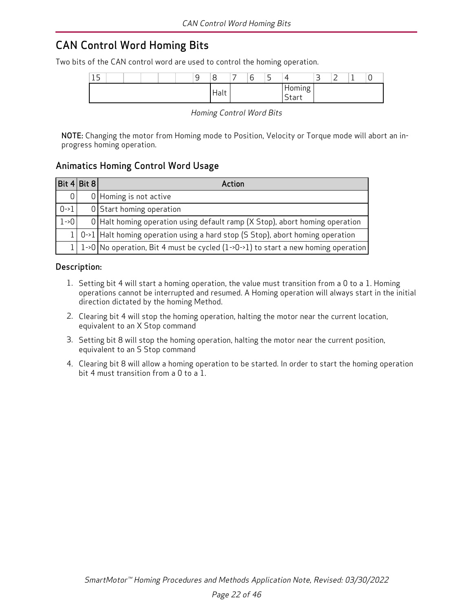# <span id="page-21-0"></span>CAN Control Word Homing Bits

Two bits of the CAN control word are used to control the homing operation.

| $\blacksquare$<br>-<br>ᅩ |  | $\overline{ }$<br>ч<br>ັ | $\overline{a}$<br>ŏ | $\overline{\phantom{0}}$<br>b | $\overline{\phantom{0}}$<br><u>.</u> | 4                                                               | $\overline{\phantom{0}}$<br>ٮ | $\overline{\phantom{0}}$<br>_<br>— |  |
|--------------------------|--|--------------------------|---------------------|-------------------------------|--------------------------------------|-----------------------------------------------------------------|-------------------------------|------------------------------------|--|
|                          |  |                          | Halt                |                               |                                      | $\bullet$<br>doming<br>$\overline{\phantom{a}}$<br><b>Start</b> |                               |                                    |  |

Homing Control Word Bits

NOTE: Changing the motor from Homing mode to Position, Velocity or Torque mode will abort an inprogress homing operation.

#### <span id="page-21-1"></span>Animatics Homing Control Word Usage

| $Bit$ 4 Bit 8 | Action                                                                                                      |
|---------------|-------------------------------------------------------------------------------------------------------------|
| 01            | $0$ Homing is not active                                                                                    |
| $0 - 1$       | 0 Start homing operation                                                                                    |
| $1 - 0$       | $0$ Halt homing operation using default ramp (X Stop), abort homing operation                               |
|               | $1 0\rightarrow1 $ Halt homing operation using a hard stop (S Stop), abort homing operation                 |
|               | 1   1->0   No operation, Bit 4 must be cycled $(1\rightarrow0\rightarrow1)$ to start a new homing operation |

#### <span id="page-21-2"></span>Description:

- 1. Setting bit 4 will start a homing operation, the value must transition from a 0 to a 1. Homing operations cannot be interrupted and resumed. A Homing operation will always start in the initial direction dictated by the homing Method.
- 2. Clearing bit 4 will stop the homing operation, halting the motor near the current location, equivalent to an X Stop command
- 3. Setting bit 8 will stop the homing operation, halting the motor near the current position, equivalent to an S Stop command
- 4. Clearing bit 8 will allow a homing operation to be started. In order to start the homing operation bit 4 must transition from a 0 to a 1.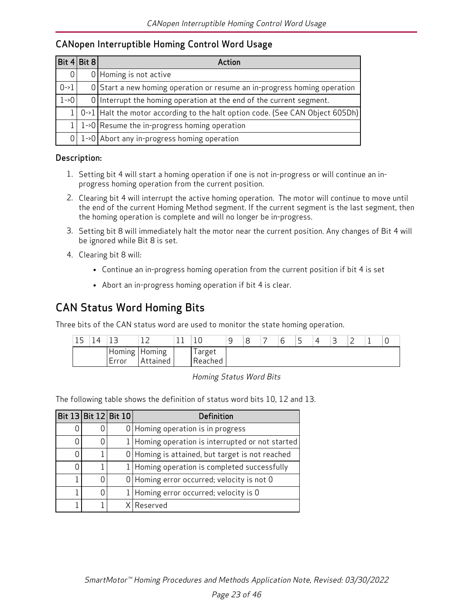#### <span id="page-22-0"></span>CANopen Interruptible Homing Control Word Usage

| Bit $4 Bit 8 $ | Action                                                                              |
|----------------|-------------------------------------------------------------------------------------|
| 0              | $0$ Homing is not active                                                            |
| $0 - 1$        | O Start a new homing operation or resume an in-progress homing operation            |
| $1 - 0$        | $0$ Interrupt the homing operation at the end of the current segment.               |
|                | 1   0->1   Halt the motor according to the halt option code. (See CAN Object 605Dh) |
|                | 1->0   Resume the in-progress homing operation                                      |
|                | $0$   1->0   Abort any in-progress homing operation                                 |

#### <span id="page-22-1"></span>Description:

- 1. Setting bit 4 will start a homing operation if one is not in-progress or will continue an inprogress homing operation from the current position.
- 2. Clearing bit 4 will interrupt the active homing operation. The motor will continue to move until the end of the current Homing Method segment. If the current segment is the last segment, then the homing operation is complete and will no longer be in-progress.
- 3. Setting bit 8 will immediately halt the motor near the current position. Any changes of Bit 4 will be ignored while Bit 8 is set.
- 4. Clearing bit 8 will:
	- Continue an in-progress homing operation from the current position if bit 4 is set
	- Abort an in-progress homing operation if bit 4 is clear.

### <span id="page-22-2"></span>CAN Status Word Homing Bits

Three bits of the CAN status word are used to monitor the state homing operation.

| - - | ∸               |                                      | ั∪                  | У | 8 | ∽<br>r<br>ັ | -<br>ے | 4 | ∽<br>ٮ | - | <b>.</b> | U |
|-----|-----------------|--------------------------------------|---------------------|---|---|-------------|--------|---|--------|---|----------|---|
|     | Homing<br>Error | Homing<br>At <sup>+</sup><br>*tained | arget<br>`Reached , |   |   |             |        |   |        |   |          |   |

Homing Status Word Bits

The following table shows the definition of status word bits 10, 12 and 13.

|   | Bit 13 Bit 12 Bit 10 | <b>Definition</b>                                 |
|---|----------------------|---------------------------------------------------|
| 0 |                      | $0$ Homing operation is in progress               |
|   |                      | 1 Homing operation is interrupted or not started  |
| N |                      | 0   Homing is attained, but target is not reached |
|   |                      | 1   Homing operation is completed successfully    |
|   |                      | $0$ Homing error occurred; velocity is not 0      |
|   |                      | $1$  Homing error occurred; velocity is 0         |
|   |                      | X Reserved                                        |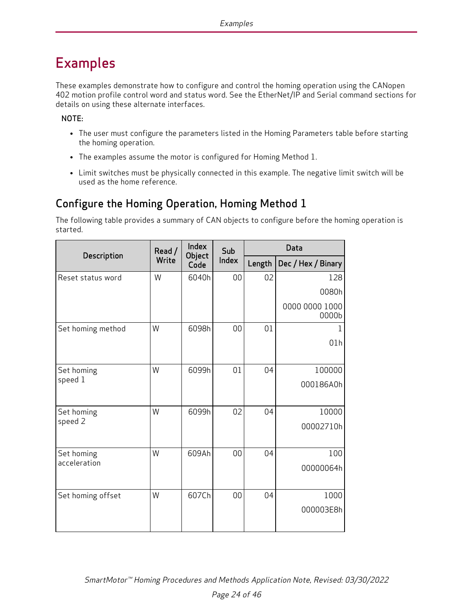# <span id="page-23-0"></span>Examples

These examples demonstrate how to configure and control the homing operation using the CANopen 402 motion profile control word and status word. See the EtherNet/IP and Serial command sections for details on using these alternate interfaces.

NOTE:

- The user must configure the parameters listed in the Homing Parameters table before starting the homing operation.
- The examples assume the motor is configured for Homing Method 1.
- Limit switches must be physically connected in this example. The negative limit switch will be used as the home reference.

# <span id="page-23-1"></span>Configure the Homing Operation, Homing Method 1

The following table provides a summary of CAN objects to configure before the homing operation is started.

|                            | Read / | Index<br>Object | Sub   | Data   |                         |  |  |  |
|----------------------------|--------|-----------------|-------|--------|-------------------------|--|--|--|
| Description                | Write  | Code            | Index | Length | Dec / Hex / Binary      |  |  |  |
| Reset status word          | W      | 6040h           | 00    | 02     | 128                     |  |  |  |
|                            |        |                 |       |        | 0080h                   |  |  |  |
|                            |        |                 |       |        | 0000 0000 1000<br>0000b |  |  |  |
| Set homing method          | W      | 6098h           | 00    | 01     |                         |  |  |  |
|                            |        |                 |       |        | 01h                     |  |  |  |
| Set homing                 | W      | 6099h           | 01    | 04     | 100000                  |  |  |  |
| speed 1                    |        |                 |       |        | 000186A0h               |  |  |  |
|                            |        |                 |       |        |                         |  |  |  |
| Set homing                 | W      | 6099h           | 02    | 04     | 10000                   |  |  |  |
| speed 2                    |        |                 |       |        | 00002710h               |  |  |  |
|                            |        |                 |       |        |                         |  |  |  |
| Set homing<br>acceleration | W      | 609Ah           | 00    | 04     | 100                     |  |  |  |
|                            |        |                 |       |        | 00000064h               |  |  |  |
|                            | W      | 607Ch           | 00    | 04     | 1000                    |  |  |  |
| Set homing offset          |        |                 |       |        |                         |  |  |  |
|                            |        |                 |       |        | 000003E8h               |  |  |  |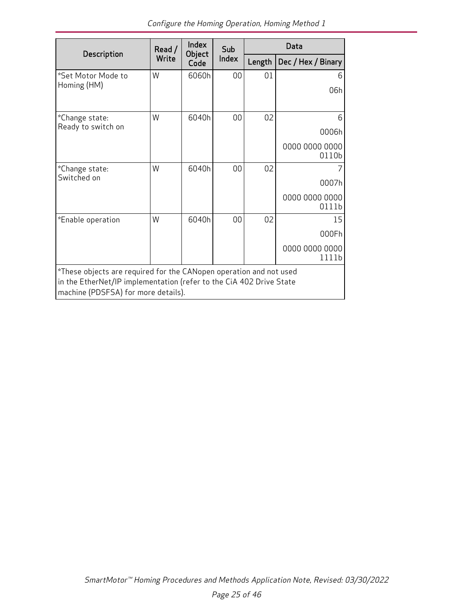|                                                                     | Read /                                                             | Index          | Sub   | Data   |                         |
|---------------------------------------------------------------------|--------------------------------------------------------------------|----------------|-------|--------|-------------------------|
| Description                                                         | Write                                                              | Object<br>Code | Index | Length | Dec / Hex / Binary      |
| *Set Motor Mode to                                                  | W                                                                  | 6060h          | 00    | 01     | 6                       |
| Homing (HM)                                                         |                                                                    |                |       |        | 06h                     |
|                                                                     |                                                                    |                |       |        |                         |
| *Change state:                                                      | W                                                                  | 6040h          | 00    | 02     | 6                       |
| Ready to switch on                                                  |                                                                    |                |       |        | 0006h                   |
|                                                                     |                                                                    |                |       |        | 0000 0000 0000          |
|                                                                     |                                                                    |                |       |        | 0110b                   |
| *Change state:<br>Switched on                                       | W                                                                  | 6040h          | 00    | 02     | 7                       |
|                                                                     |                                                                    |                |       |        | 0007h                   |
|                                                                     |                                                                    |                |       |        | 0000 0000 0000<br>0111b |
| *Enable operation                                                   | W                                                                  | 6040h          | 00    | 02     | 15                      |
|                                                                     |                                                                    |                |       |        | 000Fh                   |
|                                                                     |                                                                    |                |       |        | 0000 0000 0000<br>1111b |
|                                                                     | *These objects are required for the CANopen operation and not used |                |       |        |                         |
| in the EtherNet/IP implementation (refer to the CiA 402 Drive State |                                                                    |                |       |        |                         |
| machine (PDSFSA) for more details).                                 |                                                                    |                |       |        |                         |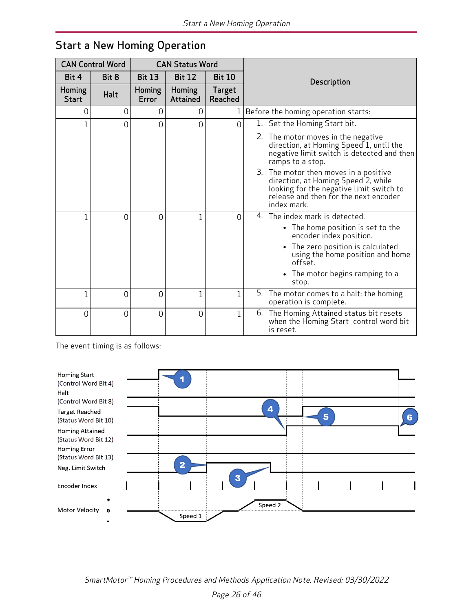| <b>CAN Control Word</b> |          | <b>CAN Status Word</b> |                           |                   |                                                                                                                                                                                  |
|-------------------------|----------|------------------------|---------------------------|-------------------|----------------------------------------------------------------------------------------------------------------------------------------------------------------------------------|
| Bit 4                   | Bit 8    | <b>Bit 13</b>          | <b>Bit 12</b>             | <b>Bit 10</b>     | Description                                                                                                                                                                      |
| Homing<br><b>Start</b>  | Halt     | <b>Homing</b><br>Error | Homing<br><b>Attained</b> | Target<br>Reached |                                                                                                                                                                                  |
| 0                       | 0        | 0                      | 0                         |                   | Before the homing operation starts:                                                                                                                                              |
| $\mathbf 1$             | 0        | $\Omega$               | 0                         | 0                 | 1. Set the Homing Start bit.                                                                                                                                                     |
|                         |          |                        |                           |                   | 2. The motor moves in the negative<br>direction, at Homing Speed 1, until the<br>negative limit switch is detected and then<br>ramps to a stop.                                  |
|                         |          |                        |                           |                   | 3. The motor then moves in a positive<br>direction, at Homing Speed 2, while<br>looking for the negative limit switch to<br>release and then for the next encoder<br>index mark. |
| $\mathbf{1}$            | $\Omega$ | O                      | 1                         | 0                 | The index mark is detected.<br>4.                                                                                                                                                |
|                         |          |                        |                           |                   | • The home position is set to the<br>encoder index position.                                                                                                                     |
|                         |          |                        |                           |                   | The zero position is calculated<br>using the home position and home<br>offset.                                                                                                   |
|                         |          |                        |                           |                   | • The motor begins ramping to a<br>stop.                                                                                                                                         |
| $\mathbf 1$             | 0        | $\overline{0}$         | $\mathbf 1$               | $\mathbf{1}$      | 5.<br>The motor comes to a halt; the homing<br>operation is complete.                                                                                                            |
| 0                       | $\Omega$ | $\Omega$               | $\overline{0}$            | $\mathbf{1}$      | The Homing Attained status bit resets<br>6.<br>when the Homing Start control word bit<br>is reset.                                                                               |

# <span id="page-25-0"></span>Start a New Homing Operation

The event timing is as follows:



SmartMotor™ Homing Procedures and Methods Application Note, Revised: 03/30/2022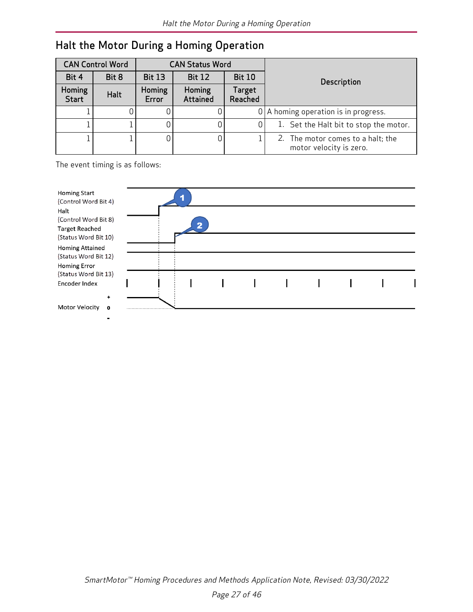|                        | <b>CAN Control Word</b><br><b>CAN Status Word</b> |                 |                    |                          |                                                              |
|------------------------|---------------------------------------------------|-----------------|--------------------|--------------------------|--------------------------------------------------------------|
| Bit 4                  | Bit 8                                             | <b>Bit 13</b>   | <b>Bit 12</b>      | <b>Bit 10</b>            | Description                                                  |
| Homing<br><b>Start</b> | Halt                                              | Homing<br>Error | Homing<br>Attained | <b>Target</b><br>Reached |                                                              |
|                        |                                                   |                 |                    |                          | $0$   A homing operation is in progress.                     |
|                        |                                                   |                 |                    | 0                        | 1. Set the Halt bit to stop the motor.                       |
|                        |                                                   |                 |                    |                          | 2. The motor comes to a halt; the<br>motor velocity is zero. |

# <span id="page-26-0"></span>Halt the Motor During a Homing Operation

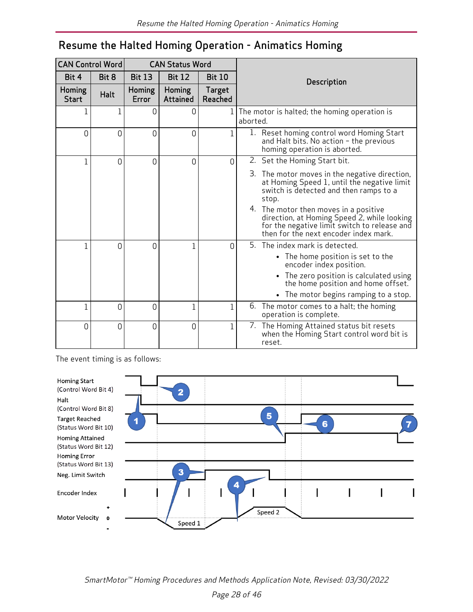# <span id="page-27-0"></span>Resume the Halted Homing Operation - Animatics Homing

| <b>CAN Control Word</b> |             |                 | <b>CAN Status Word</b>    |                          |                                                                                                                                                                               |
|-------------------------|-------------|-----------------|---------------------------|--------------------------|-------------------------------------------------------------------------------------------------------------------------------------------------------------------------------|
| Bit 4                   | Bit 8       | <b>Bit 13</b>   | <b>Bit 12</b>             | <b>Bit 10</b>            | Description                                                                                                                                                                   |
| Homing<br><b>Start</b>  | <b>Halt</b> | Homing<br>Error | Homing<br><b>Attained</b> | <b>Target</b><br>Reached |                                                                                                                                                                               |
| 1                       | 1           | 0               | 0                         | 1                        | The motor is halted; the homing operation is<br>aborted.                                                                                                                      |
| 0                       | 0           | 0               | 0                         | 1                        | Reset homing control word Homing Start<br>$\perp$ .<br>and Halt bits. No action - the previous<br>homing operation is aborted.                                                |
| $\mathbf{1}$            | 0           | $\overline{0}$  | $\overline{0}$            | $\overline{0}$           | 2. Set the Homing Start bit.                                                                                                                                                  |
|                         |             |                 |                           |                          | 3. The motor moves in the negative direction,<br>at Homing Speed 1, until the negative limit<br>switch is detected and then ramps to a<br>stop.                               |
|                         |             |                 |                           |                          | 4. The motor then moves in a positive<br>direction, at Homing Speed 2, while looking<br>for the negative limit switch to release and<br>then for the next encoder index mark. |
| $\mathbf 1$             | 0           | 0               | $\overline{1}$            | $\overline{0}$           | The index mark is detected.<br>5.                                                                                                                                             |
|                         |             |                 |                           |                          | • The home position is set to the<br>encoder index position.                                                                                                                  |
|                         |             |                 |                           |                          | • The zero position is calculated using<br>the home position and home offset.                                                                                                 |
|                         |             |                 |                           |                          | • The motor begins ramping to a stop.                                                                                                                                         |
| $\mathbf{1}$            | 0           | 0               | 1                         | 1                        | 6. The motor comes to a halt; the homing<br>operation is complete.                                                                                                            |
| $\overline{0}$          | 0           | 0               | $\overline{0}$            | $\mathbf 1$              | 7. The Homing Attained status bit resets<br>when the Homing Start control word bit is<br>reset.                                                                               |

The event timing is as follows:



SmartMotor™ Homing Procedures and Methods Application Note, Revised: 03/30/2022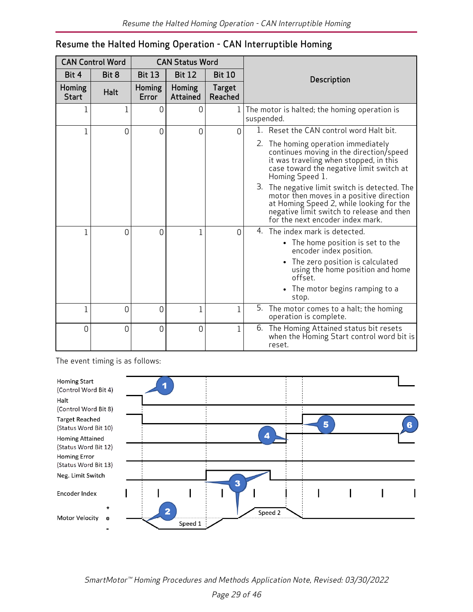| <b>CAN Control Word</b> |       | <b>CAN Status Word</b> |                    |                          |                                                                                                                                                                                                                           |
|-------------------------|-------|------------------------|--------------------|--------------------------|---------------------------------------------------------------------------------------------------------------------------------------------------------------------------------------------------------------------------|
| Bit 4                   | Bit 8 | <b>Bit 13</b>          | <b>Bit 12</b>      | <b>Bit 10</b>            | Description                                                                                                                                                                                                               |
| Homing<br><b>Start</b>  | Halt  | Homing<br>Error        | Homing<br>Attained | <b>Target</b><br>Reached |                                                                                                                                                                                                                           |
| 1                       | 1     | 0                      | 0                  |                          | 1 The motor is halted; the homing operation is<br>suspended.                                                                                                                                                              |
| $\mathbf 1$             | 0     | $\Omega$               | 0                  | $\Omega$                 | 1. Reset the CAN control word Halt bit.                                                                                                                                                                                   |
|                         |       |                        |                    |                          | 2. The homing operation immediately<br>continues moving in the direction/speed<br>it was traveling when stopped, in this<br>case toward the negative limit switch at<br>Homing Speed 1.                                   |
|                         |       |                        |                    |                          | The negative limit switch is detected. The<br>3.<br>motor then moves in a positive direction<br>at Homing Speed 2, while looking for the<br>negative limit switch to release and then<br>for the next encoder index mark. |
| 1                       | 0     | 0                      | 1                  | $\Omega$                 | 4. The index mark is detected.                                                                                                                                                                                            |
|                         |       |                        |                    |                          | • The home position is set to the<br>encoder index position.                                                                                                                                                              |
|                         |       |                        |                    |                          | • The zero position is calculated<br>using the home position and home<br>offset.                                                                                                                                          |
|                         |       |                        |                    |                          | • The motor begins ramping to a<br>stop.                                                                                                                                                                                  |
| $\overline{1}$          | 0     | $\overline{0}$         | 1                  | $\overline{1}$           | 5. The motor comes to a halt; the homing<br>operation is complete.                                                                                                                                                        |
| $\overline{0}$          | 0     | $\overline{0}$         | $\overline{0}$     | $\overline{1}$           | The Homing Attained status bit resets<br>6.<br>when the Homing Start control word bit is<br>reset.                                                                                                                        |

#### <span id="page-28-0"></span>Resume the Halted Homing Operation - CAN Interruptible Homing

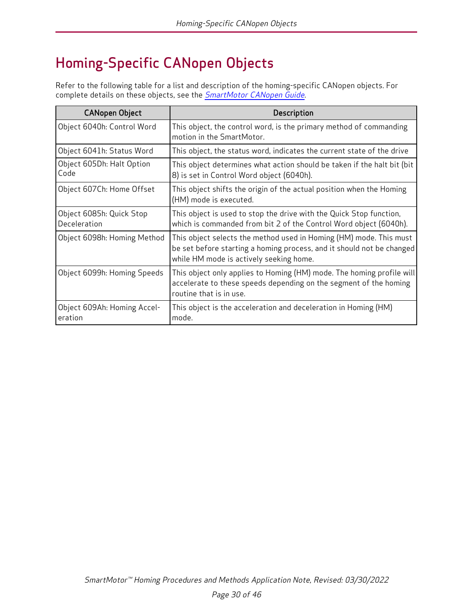# <span id="page-29-0"></span>Homing-Specific CANopen Objects

Refer to the following table for a list and description of the homing-specific CANopen objects. For complete details on these objects, see the **[SmartMotor](http://www.animatics.com/cl-5-canopen-guide) CANopen Guide**.

| <b>CANopen Object</b>                    | Description                                                                                                                                                                            |
|------------------------------------------|----------------------------------------------------------------------------------------------------------------------------------------------------------------------------------------|
| Object 6040h: Control Word               | This object, the control word, is the primary method of commanding<br>motion in the SmartMotor.                                                                                        |
| Object 6041h: Status Word                | This object, the status word, indicates the current state of the drive                                                                                                                 |
| Object 605Dh: Halt Option<br>Code        | This object determines what action should be taken if the halt bit (bit<br>8) is set in Control Word object (6040h).                                                                   |
| Object 607Ch: Home Offset                | This object shifts the origin of the actual position when the Homing<br>(HM) mode is executed.                                                                                         |
| Object 6085h: Quick Stop<br>Deceleration | This object is used to stop the drive with the Quick Stop function,<br>which is commanded from bit 2 of the Control Word object (6040h).                                               |
| Object 6098h: Homing Method              | This object selects the method used in Homing (HM) mode. This must<br>be set before starting a homing process, and it should not be changed<br>while HM mode is actively seeking home. |
| Object 6099h: Homing Speeds              | This object only applies to Homing (HM) mode. The homing profile will<br>accelerate to these speeds depending on the segment of the homing<br>routine that is in use.                  |
| Object 609Ah: Homing Accel-<br>eration   | This object is the acceleration and deceleration in Homing (HM)<br>mode.                                                                                                               |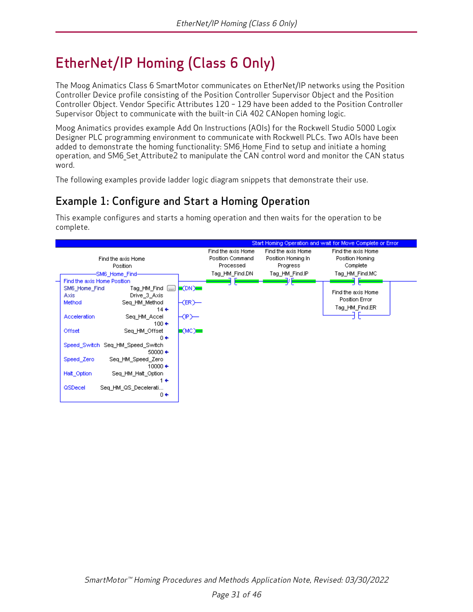# <span id="page-30-0"></span>EtherNet/IP Homing (Class 6 Only)

The Moog Animatics Class 6 SmartMotor communicates on EtherNet/IP networks using the Position Controller Device profile consisting of the Position Controller Supervisor Object and the Position Controller Object. Vendor Specific Attributes 120 – 129 have been added to the Position Controller Supervisor Object to communicate with the built-in CiA 402 CANopen homing logic.

Moog Animatics provides example Add On Instructions (AOIs) for the Rockwell Studio 5000 Logix Designer PLC programming environment to communicate with Rockwell PLCs. Two AOIs have been added to demonstrate the homing functionality: SM6\_Home\_Find to setup and initiate a homing operation, and SM6\_Set\_Attribute2 to manipulate the CAN control word and monitor the CAN status word.

<span id="page-30-1"></span>The following examples provide ladder logic diagram snippets that demonstrate their use.

# Example 1: Configure and Start a Homing Operation

This example configures and starts a homing operation and then waits for the operation to be complete.

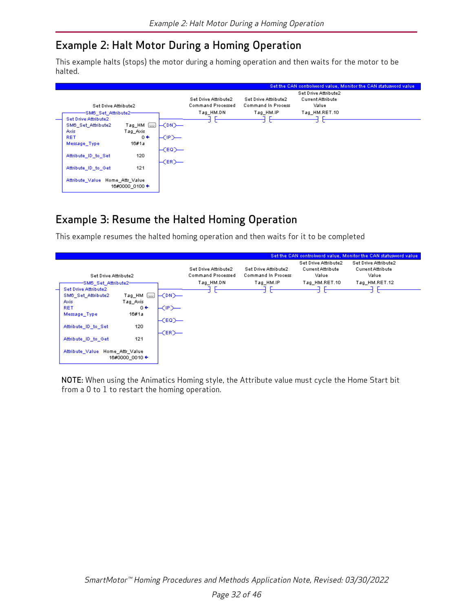## <span id="page-31-0"></span>Example 2: Halt Motor During a Homing Operation

This example halts (stops) the motor during a homing operation and then waits for the motor to be halted.

|   |                                 |                     |                               |                                           |                                            |                                                           | Set the CAN controlword value, Monitor the CAN statusword value |
|---|---------------------------------|---------------------|-------------------------------|-------------------------------------------|--------------------------------------------|-----------------------------------------------------------|-----------------------------------------------------------------|
|   | Set Drive Attribute2            |                     |                               | Set Drive Attribute2<br>Command Processed | Set Drive Attribute2<br>Command In Process | Set Drive Attribute2<br><b>Current Attribute</b><br>Value |                                                                 |
|   | -SM6_Set_Attribute2-            |                     |                               | Tag_HM.DN                                 | Tag_HM.IP                                  | Tag HM.RET.10                                             |                                                                 |
| - | Set Drive Attribute2            |                     |                               |                                           |                                            |                                                           |                                                                 |
|   | SM6_Set_Attribute2              | $Tag_HM \Box$       | $\mathsf{H}$ CDN $\mathsf{H}$ |                                           |                                            |                                                           |                                                                 |
|   | <b>Axis</b>                     | Tag_Axis            |                               |                                           |                                            |                                                           |                                                                 |
|   | <b>RET</b>                      | $0 \leftrightarrow$ | —CIP>—                        |                                           |                                            |                                                           |                                                                 |
|   | Message_Type                    | 16#1a               |                               |                                           |                                            |                                                           |                                                                 |
|   |                                 |                     | $\mathsf{H}$ cea $\mathsf{H}$ |                                           |                                            |                                                           |                                                                 |
|   | Attribute ID to Set             | 120                 |                               |                                           |                                            |                                                           |                                                                 |
|   |                                 |                     | $\vdash$ CER) $\rightarrow$   |                                           |                                            |                                                           |                                                                 |
|   | Attribute ID to Get             | 121                 |                               |                                           |                                            |                                                           |                                                                 |
|   |                                 |                     |                               |                                           |                                            |                                                           |                                                                 |
|   | Attribute Value Home Attr Value | 16#0000_0100 ←      |                               |                                           |                                            |                                                           |                                                                 |
|   |                                 |                     |                               |                                           |                                            |                                                           |                                                                 |

# <span id="page-31-1"></span>Example 3: Resume the Halted Homing Operation

This example resumes the halted homing operation and then waits for it to be completed

|                                                                                                                                                                                                                                     |                                                                       |                                           |                                            |                                                           | Set the CAN controlword value, Monitor the CAN statusword value |  |
|-------------------------------------------------------------------------------------------------------------------------------------------------------------------------------------------------------------------------------------|-----------------------------------------------------------------------|-------------------------------------------|--------------------------------------------|-----------------------------------------------------------|-----------------------------------------------------------------|--|
| Set Drive Attribute2                                                                                                                                                                                                                |                                                                       | Set Drive Attribute2<br>Command Processed | Set Drive Attribute2<br>Command In Process | Set Drive Attribute2<br><b>Current Attribute</b><br>Value | Set Drive Attribute2<br><b>Current Attribute</b><br>Value       |  |
| -SM6_Set_Attribute2-<br><b>Set Drive Attribute2</b><br>$Tag$ HM $\Box$<br>SM6 Set Attribute2<br><b>Axis</b><br>Tag Axis<br>$0 +$<br><b>RET</b><br>16#1a<br>Message Type<br>120<br>Attribute ID to Set<br>121<br>Attribute ID to Get | $\mathsf{H}$ CDN $\mathsf{H}$<br>—CIP>—<br>⊢с∈о>—<br>$\pm$ CER) $\pm$ | Tag HM.DN                                 | Tag HM.IP                                  | Tag_HM.RET.10                                             | Tag HM.RET.12                                                   |  |
| Attribute Value<br>Home Attr Value<br>16#0000_0010 ←                                                                                                                                                                                |                                                                       |                                           |                                            |                                                           |                                                                 |  |

NOTE: When using the Animatics Homing style, the Attribute value must cycle the Home Start bit from a 0 to 1 to restart the homing operation.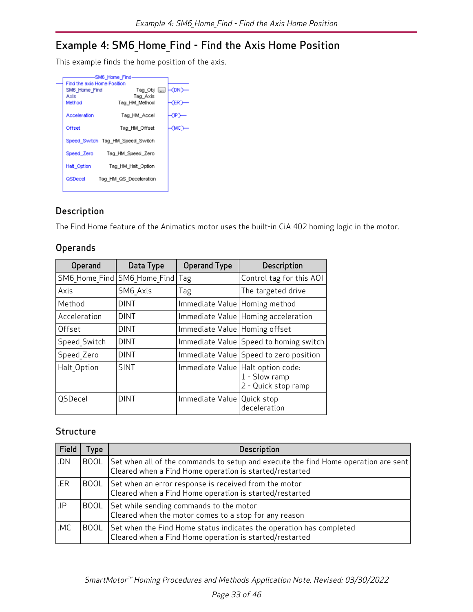# <span id="page-32-0"></span>Example 4: SM6\_Home\_Find - Find the Axis Home Position

This example finds the home position of the axis.

|                             | -SM6 Home Find-                  |       |
|-----------------------------|----------------------------------|-------|
| Find the axis Home Position |                                  |       |
| SM6 Home Find               | Tag Obj []                       | FCDN  |
| Axis                        | Tag Axis                         |       |
| Method                      | Tag HM Method                    | (ER)  |
| Acceleration                | Tag HM Accel                     | ረውን   |
| Offset                      | Tag HM Offset                    | -смо> |
|                             | Speed Switch Tag HM Speed Switch |       |
|                             | Speed_Zero Tag_HM_Speed_Zero     |       |
| Halt Option                 | Tag HM Halt Option               |       |
| QSDecel                     | Tag HM QS Deceleration           |       |
|                             |                                  |       |

#### <span id="page-32-1"></span>Description

<span id="page-32-2"></span>The Find Home feature of the Animatics motor uses the built-in CiA 402 homing logic in the motor.

#### **Operands**

| Operand        | Data Type                         | <b>Operand Type</b>             | Description                                                                 |
|----------------|-----------------------------------|---------------------------------|-----------------------------------------------------------------------------|
|                | SM6 Home Find SM6 Home Find   Tag |                                 | Control tag for this AOI                                                    |
| Axis           | SM6 Axis                          | Tag                             | The targeted drive                                                          |
| Method         | <b>DINT</b>                       | Immediate Value   Homing method |                                                                             |
| Acceleration   | <b>DINT</b>                       |                                 | Immediate Value   Homing acceleration                                       |
| Offset         | <b>DINT</b>                       | Immediate Value   Homing offset |                                                                             |
| Speed Switch   | <b>DINT</b>                       |                                 | Immediate Value Speed to homing switch                                      |
| Speed Zero     | <b>DINT</b>                       |                                 | Immediate Value   Speed to zero position                                    |
| Halt Option    | <b>SINT</b>                       |                                 | Immediate Value   Halt option code:<br>1 - Slow ramp<br>2 - Quick stop ramp |
| <b>QSDecel</b> | <b>DINT</b>                       | Immediate Value   Quick stop    | deceleration                                                                |

#### <span id="page-32-3"></span>**Structure**

| Field | Type        | <b>Description</b>                                                                                                                            |
|-------|-------------|-----------------------------------------------------------------------------------------------------------------------------------------------|
| .DN   | <b>BOOL</b> | Set when all of the commands to setup and execute the find Home operation are sent<br>Cleared when a Find Home operation is started/restarted |
| .ER   |             | BOOL Set when an error response is received from the motor<br>Cleared when a Find Home operation is started/restarted                         |
| I.P   |             | BOOL Set while sending commands to the motor<br>Cleared when the motor comes to a stop for any reason                                         |
| .MC   | <b>BOOL</b> | Set when the Find Home status indicates the operation has completed<br>Cleared when a Find Home operation is started/restarted                |

SmartMotor™ Homing Procedures and Methods Application Note, Revised: 03/30/2022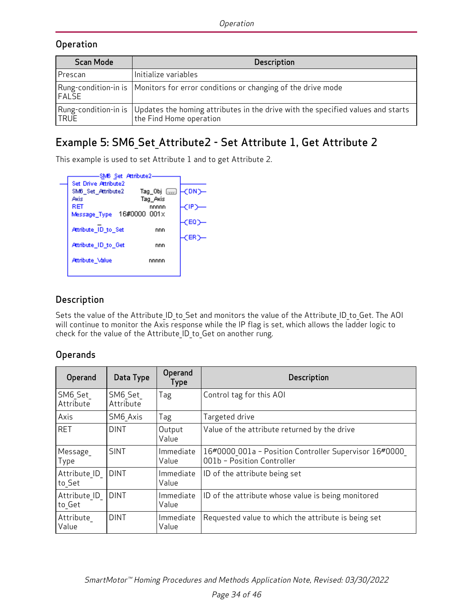#### <span id="page-33-0"></span>**Operation**

| <b>Scan Mode</b> | <b>Description</b>                                                                                                                |
|------------------|-----------------------------------------------------------------------------------------------------------------------------------|
| Prescan          | Initialize variables                                                                                                              |
| <b>FALSE</b>     | Rung-condition-in is   Monitors for error conditions or changing of the drive mode                                                |
| <b>TRUE</b>      | Rung-condition-in is   Updates the homing attributes in the drive with the specified values and starts<br>the Find Home operation |

# <span id="page-33-1"></span>Example 5: SM6\_Set\_Attribute2 - Set Attribute 1, Get Attribute 2

This example is used to set Attribute 1 and to get Attribute 2.

| -SM6 Set Attribute2-             |        |
|----------------------------------|--------|
| Set Drive Attribute2             |        |
| SM6 Set Attribute2<br>Tag_Obj [] | -CDND- |
| Axis<br>Tag Axis                 |        |
| RET<br>nnnnn                     | ₹IP)   |
| 16#0000 001x<br>Message_Type     |        |
|                                  | (EQ)   |
| Attribute ID to Set<br>nnn       |        |
|                                  | (ER)   |
| Attribute ID to Get<br>nnn       |        |
| Attribute Value<br>nnnnn         |        |
|                                  |        |

#### <span id="page-33-2"></span>Description

Sets the value of the Attribute ID to Set and monitors the value of the Attribute ID to Get. The AOI will continue to monitor the Axis response while the IP flag is set, which allows the ladder logic to check for the value of the Attribute\_ID\_to\_Get on another rung.

#### <span id="page-33-3"></span>Operands

| Operand                | Data Type                         | Operand<br>Type    | Description                                                                         |
|------------------------|-----------------------------------|--------------------|-------------------------------------------------------------------------------------|
| SM6 Set<br>Attribute   | SM6 Set<br>Attribute              | Tag                | Control tag for this AOI                                                            |
| Axis                   | SM6 Axis                          | Tag                | Targeted drive                                                                      |
| <b>RET</b>             | <b>DINT</b>                       | Output<br>Value    | Value of the attribute returned by the drive                                        |
| Message<br>Type        | <b>SINT</b>                       | Immediate<br>Value | 16#0000 001a - Position Controller Supervisor 16#0000<br>001b - Position Controller |
| Attribute ID<br>to Set | <b>DINT</b>                       | Immediate<br>Value | ID of the attribute being set                                                       |
| Attribute ID<br>to Get | <b>DINT</b><br>Immediate<br>Value |                    | ID of the attribute whose value is being monitored                                  |
| Attribute<br>Value     | <b>DINT</b>                       | Immediate<br>Value | Requested value to which the attribute is being set                                 |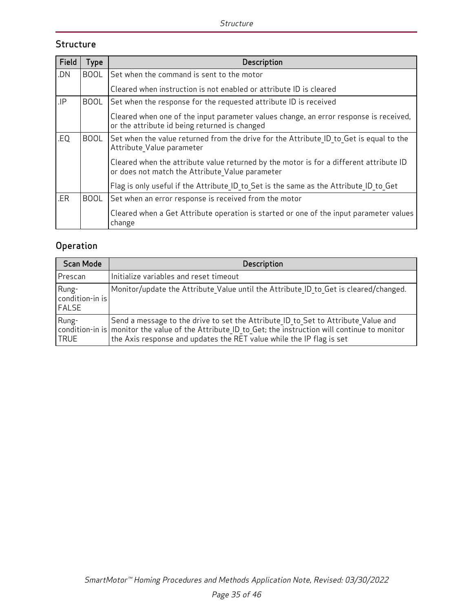#### <span id="page-34-0"></span>**Structure**

| Field | <b>Type</b> | Description                                                                                                                               |  |  |  |  |  |  |
|-------|-------------|-------------------------------------------------------------------------------------------------------------------------------------------|--|--|--|--|--|--|
| .DN   | <b>BOOL</b> | Set when the command is sent to the motor                                                                                                 |  |  |  |  |  |  |
|       |             | Cleared when instruction is not enabled or attribute ID is cleared                                                                        |  |  |  |  |  |  |
| .IP   | <b>BOOL</b> | Set when the response for the requested attribute ID is received                                                                          |  |  |  |  |  |  |
|       |             | Cleared when one of the input parameter values change, an error response is received,<br>or the attribute id being returned is changed    |  |  |  |  |  |  |
| .EQ   | <b>BOOL</b> | Set when the value returned from the drive for the Attribute ID to Get is equal to the<br>Attribute Value parameter                       |  |  |  |  |  |  |
|       |             | Cleared when the attribute value returned by the motor is for a different attribute ID<br>or does not match the Attribute Value parameter |  |  |  |  |  |  |
|       |             | Flag is only useful if the Attribute ID to Set is the same as the Attribute ID to Get                                                     |  |  |  |  |  |  |
| .ER   | <b>BOOL</b> | Set when an error response is received from the motor                                                                                     |  |  |  |  |  |  |
|       |             | Cleared when a Get Attribute operation is started or one of the input parameter values<br>change                                          |  |  |  |  |  |  |

# <span id="page-34-1"></span>**Operation**

| <b>Scan Mode</b>                  | <b>Description</b>                                                                                                                                                                                                                                                          |
|-----------------------------------|-----------------------------------------------------------------------------------------------------------------------------------------------------------------------------------------------------------------------------------------------------------------------------|
| Prescan                           | Initialize variables and reset timeout                                                                                                                                                                                                                                      |
| Rung-<br>condition-in is<br>FALSE | Monitor/update the Attribute Value until the Attribute ID to Get is cleared/changed.                                                                                                                                                                                        |
| Rung-<br> TRUE                    | Send a message to the drive to set the Attribute ID to Set to Attribute Value and<br>$ $ condition-in is $ $ monitor the value of the Attribute ID to Get; the instruction will continue to monitor<br>the Axis response and updates the RET value while the IP flag is set |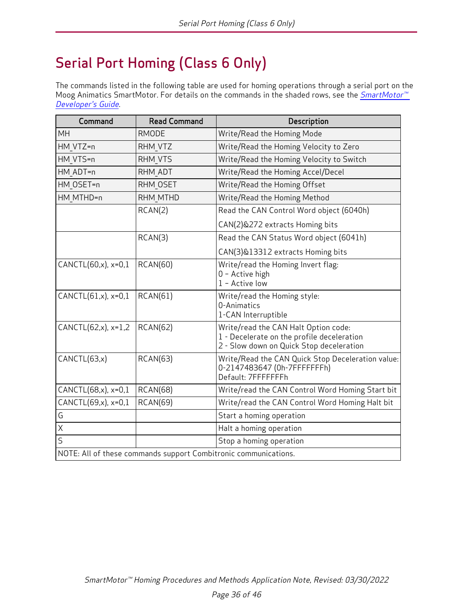# <span id="page-35-0"></span>Serial Port Homing (Class 6 Only)

The commands listed in the following table are used for homing operations through a serial port on the Moog Animatics SmartMotor. For details on the commands in the shaded rows, see the *SmartMotor*<sup>™</sup> [Developer's](http://www.animatics.com/smartmotor-developers-guide) Guide.

| Command                    | <b>Read Command</b>                                             | Description                                                                                                                    |
|----------------------------|-----------------------------------------------------------------|--------------------------------------------------------------------------------------------------------------------------------|
| <b>MH</b>                  | <b>RMODE</b>                                                    | Write/Read the Homing Mode                                                                                                     |
| HM VTZ=n                   | RHM VTZ                                                         | Write/Read the Homing Velocity to Zero                                                                                         |
| HM VTS=n                   | RHM VTS                                                         | Write/Read the Homing Velocity to Switch                                                                                       |
| HM ADT=n                   | RHM ADT                                                         | Write/Read the Homing Accel/Decel                                                                                              |
| HM OSET=n                  | RHM OSET                                                        | Write/Read the Homing Offset                                                                                                   |
| HM MTHD=n                  | RHM MTHD                                                        | Write/Read the Homing Method                                                                                                   |
|                            | RCAN(2)                                                         | Read the CAN Control Word object (6040h)                                                                                       |
|                            |                                                                 | CAN(2)&272 extracts Homing bits                                                                                                |
|                            | RCAN(3)                                                         | Read the CAN Status Word object (6041h)                                                                                        |
|                            |                                                                 | CAN(3)&13312 extracts Homing bits                                                                                              |
| CANCTL $(60, x)$ , $x=0,1$ | <b>RCAN(60)</b>                                                 | Write/read the Homing Invert flag:<br>0 - Active high<br>$1 -$ Active low                                                      |
| CANCTL(61,x), x=0,1        | RCAN(61)                                                        | Write/read the Homing style:<br>0-Animatics<br>1-CAN Interruptible                                                             |
| CANCTL(62,x), x=1,2        | RCAN(62)                                                        | Write/read the CAN Halt Option code:<br>1 - Decelerate on the profile deceleration<br>2 - Slow down on Quick Stop deceleration |
| CANCTL(63,x)               | <b>RCAN(63)</b>                                                 | Write/Read the CAN Quick Stop Deceleration value:<br>0-2147483647 (0h-7FFFFFFFh)<br>Default: 7FFFFFFFh                         |
| CANCTL(68,x), x=0,1        | <b>RCAN(68)</b>                                                 | Write/read the CAN Control Word Homing Start bit                                                                               |
| CANCTL(69,x), x=0,1        | <b>RCAN(69)</b>                                                 | Write/read the CAN Control Word Homing Halt bit                                                                                |
| G                          |                                                                 | Start a homing operation                                                                                                       |
| $\mathsf{X}$               |                                                                 | Halt a homing operation                                                                                                        |
| $\overline{\mathsf{S}}$    |                                                                 | Stop a homing operation                                                                                                        |
|                            | NOTE: All of these commands support Combitronic communications. |                                                                                                                                |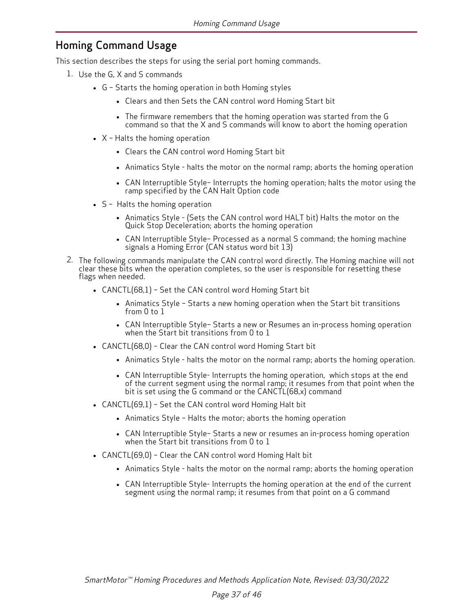#### <span id="page-36-0"></span>Homing Command Usage

This section describes the steps for using the serial port homing commands.

- 1. Use the G, X and S commands
	- $\bullet$  G Starts the homing operation in both Homing styles
		- Clears and then Sets the CAN control word Homing Start bit
		- The firmware remembers that the homing operation was started from the G command so that the X and S commands will know to abort the homing operation
	- $\bullet$  X Halts the homing operation
		- Clears the CAN control word Homing Start bit
		- Animatics Style halts the motor on the normal ramp; aborts the homing operation
		- CAN Interruptible Style- Interrupts the homing operation; halts the motor using the ramp specified by the CAN Halt Option code
	- S Halts the homing operation
		- Animatics Style (Sets the CAN control word HALT bit) Halts the motor on the Quick Stop Deceleration; aborts the homing operation
		- CAN Interruptible Style- Processed as a normal S command; the homing machine signals a Homing Error (CAN status word bit 13)
- 2. The following commands manipulate the CAN control word directly. The Homing machine will not clear these bits when the operation completes, so the user is responsible for resetting these flags when needed.
	- CANCTL(68,1) Set the CAN control word Homing Start bit
		- Animatics Style Starts a new homing operation when the Start bit transitions from 0 to 1
		- CAN Interruptible Style- Starts a new or Resumes an in-process homing operation when the Start bit transitions from 0 to 1
	- CANCTL(68,0) Clear the CAN control word Homing Start bit
		- Animatics Style halts the motor on the normal ramp; aborts the homing operation.
		- CAN Interruptible Style- Interrupts the homing operation, which stops at the end of the current segment using the normal ramp; it resumes from that point when the bit is set using the G command or the CANCTL(68,x) command
	- CANCTL(69,1) Set the CAN control word Homing Halt bit
		- Animatics Style Halts the motor; aborts the homing operation
		- CAN Interruptible Style- Starts a new or resumes an in-process homing operation when the Start bit transitions from 0 to  $1$
	- CANCTL(69,0) Clear the CAN control word Homing Halt bit
		- Animatics Style halts the motor on the normal ramp; aborts the homing operation
		- CAN Interruptible Style- Interrupts the homing operation at the end of the current segment using the normal ramp; it resumes from that point on a G command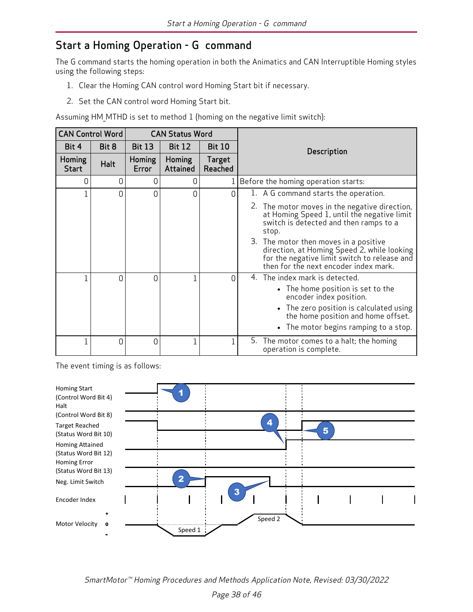### <span id="page-37-0"></span>Start a Homing Operation - G command

The G command starts the homing operation in both the Animatics and CAN Interruptible Homing styles using the following steps:

- 1. Clear the Homing CAN control word Homing Start bit if necessary.
- 2. Set the CAN control word Homing Start bit.

Assuming HM\_MTHD is set to method 1 (homing on the negative limit switch):

| <b>CAN Control Word</b> |             | <b>CAN Status Word</b> |                    |                   |                                                                                                                                                                               |  |
|-------------------------|-------------|------------------------|--------------------|-------------------|-------------------------------------------------------------------------------------------------------------------------------------------------------------------------------|--|
| Bit 4                   | Bit 8       | <b>Bit 13</b>          | <b>Bit 12</b>      | <b>Bit 10</b>     | Description                                                                                                                                                                   |  |
| Homing<br><b>Start</b>  | <b>Halt</b> | Homing<br>Error        | Homing<br>Attained | Target<br>Reached |                                                                                                                                                                               |  |
| 0                       | 0           | 0                      | 0                  | 1                 | Before the homing operation starts:                                                                                                                                           |  |
| $\overline{1}$          | 0           | 0                      | $\Omega$           | 0                 | 1. A G command starts the operation.                                                                                                                                          |  |
|                         |             |                        |                    |                   | 2. The motor moves in the negative direction,<br>at Homing Speed 1, until the negative limit<br>switch is detected and then ramps to a<br>stop.                               |  |
|                         |             |                        |                    |                   | 3. The motor then moves in a positive<br>direction, at Homing Speed 2, while looking<br>for the negative limit switch to release and<br>then for the next encoder index mark. |  |
| 1                       | 0           | $\Omega$               |                    | 0                 | The index mark is detected.<br>4.                                                                                                                                             |  |
|                         |             |                        |                    |                   | • The home position is set to the<br>encoder index position.                                                                                                                  |  |
|                         |             |                        |                    |                   | The zero position is calculated using<br>the home position and home offset.                                                                                                   |  |
|                         |             |                        |                    |                   | The motor begins ramping to a stop.                                                                                                                                           |  |
| $\mathbf 1$             | 0           | 0                      |                    |                   | 5. The motor comes to a halt; the homing<br>operation is complete.                                                                                                            |  |

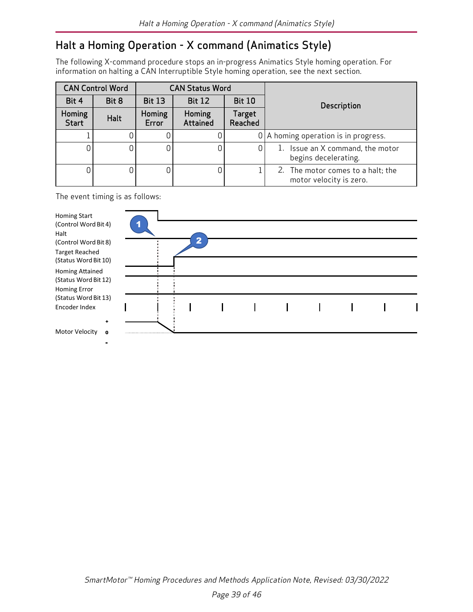# <span id="page-38-0"></span>Halt a Homing Operation - X command (Animatics Style)

The following X-command procedure stops an in-progress Animatics Style homing operation. For information on halting a CAN Interruptible Style homing operation, see the next section.

|                        | <b>CAN Control Word</b> |                                                 | <b>CAN Status Word</b> |                          |                                                              |  |
|------------------------|-------------------------|-------------------------------------------------|------------------------|--------------------------|--------------------------------------------------------------|--|
| Bit 8<br>Bit 4         |                         | <b>Bit 13</b><br><b>Bit 12</b><br><b>Bit 10</b> |                        |                          | <b>Description</b>                                           |  |
| Homing<br><b>Start</b> | Halt                    | Homing<br>Error                                 | Homing<br>Attained     | <b>Target</b><br>Reached |                                                              |  |
|                        |                         |                                                 |                        |                          | $0$   A homing operation is in progress.                     |  |
|                        |                         |                                                 |                        |                          | Issue an X command, the motor<br>begins decelerating.        |  |
|                        |                         |                                                 |                        |                          | 2. The motor comes to a halt; the<br>motor velocity is zero. |  |

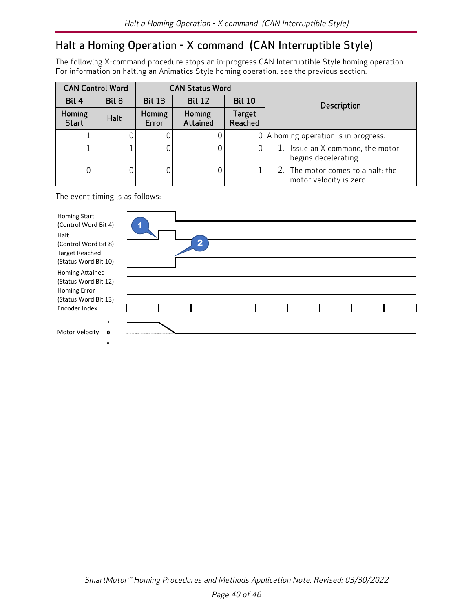## <span id="page-39-0"></span>Halt a Homing Operation - X command (CAN Interruptible Style)

The following X-command procedure stops an in-progress CAN Interruptible Style homing operation. For information on halting an Animatics Style homing operation, see the previous section.

|                        | <b>CAN Control Word</b> |                                                 | <b>CAN Status Word</b> |                          |                                                              |  |
|------------------------|-------------------------|-------------------------------------------------|------------------------|--------------------------|--------------------------------------------------------------|--|
| Bit 4<br>Bit 8         |                         | <b>Bit 12</b><br><b>Bit 13</b><br><b>Bit 10</b> |                        |                          | <b>Description</b>                                           |  |
| Homing<br><b>Start</b> | Halt                    | Homing<br>Error                                 | Homing<br>Attained     | <b>Target</b><br>Reached |                                                              |  |
|                        |                         |                                                 |                        |                          | $0$   A homing operation is in progress.                     |  |
|                        |                         |                                                 | 0.                     | 0                        | 1. Issue an X command, the motor<br>begins decelerating.     |  |
|                        |                         |                                                 | 0.                     |                          | 2. The motor comes to a halt; the<br>motor velocity is zero. |  |

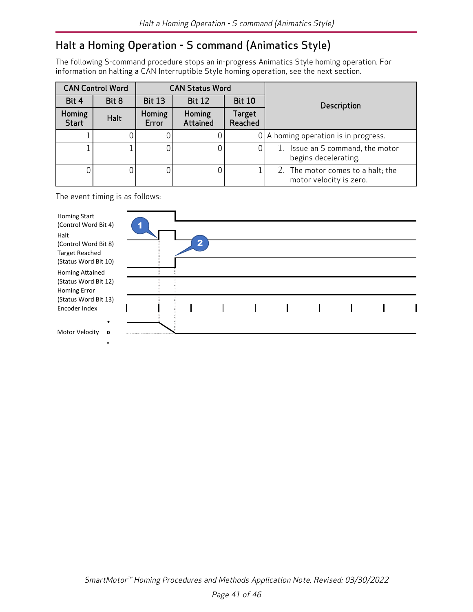# <span id="page-40-0"></span>Halt a Homing Operation - S command (Animatics Style)

The following S-command procedure stops an in-progress Animatics Style homing operation. For information on halting a CAN Interruptible Style homing operation, see the next section.

|                        | <b>CAN Control Word</b> |                                                 | <b>CAN Status Word</b> |                          |                                                              |  |
|------------------------|-------------------------|-------------------------------------------------|------------------------|--------------------------|--------------------------------------------------------------|--|
| Bit 4<br>Bit 8         |                         | <b>Bit 13</b><br><b>Bit 12</b><br><b>Bit 10</b> |                        |                          | <b>Description</b>                                           |  |
| Homing<br><b>Start</b> | Halt                    | Homing<br>Error                                 | Homing<br>Attained     | <b>Target</b><br>Reached |                                                              |  |
|                        |                         |                                                 |                        |                          | $0$   A homing operation is in progress.                     |  |
|                        |                         |                                                 | O.                     |                          | 1. Issue an S command, the motor<br>begins decelerating.     |  |
|                        |                         |                                                 | 0                      |                          | 2. The motor comes to a halt; the<br>motor velocity is zero. |  |

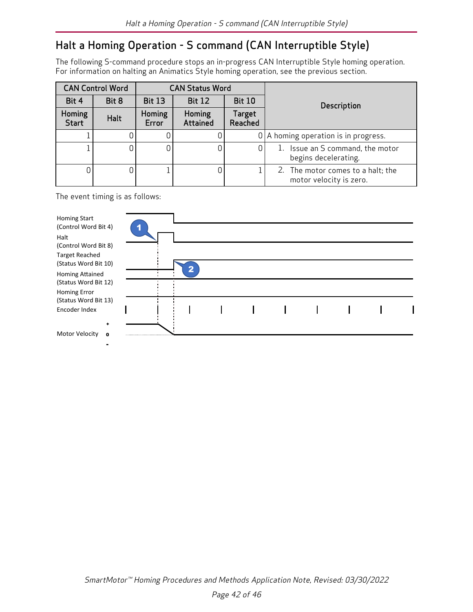# <span id="page-41-0"></span>Halt a Homing Operation - S command (CAN Interruptible Style)

The following S-command procedure stops an in-progress CAN Interruptible Style homing operation. For information on halting an Animatics Style homing operation, see the previous section.

|                        | <b>CAN Control Word</b> |                 | <b>CAN Status Word</b> |                          |                                                              |
|------------------------|-------------------------|-----------------|------------------------|--------------------------|--------------------------------------------------------------|
| Bit 4                  | Bit 8                   | <b>Bit 13</b>   | <b>Bit 12</b>          | <b>Bit 10</b>            | <b>Description</b>                                           |
| Homing<br><b>Start</b> | Halt                    | Homing<br>Error | Homing<br>Attained     | <b>Target</b><br>Reached |                                                              |
|                        |                         |                 |                        |                          | $0$   A homing operation is in progress.                     |
|                        |                         |                 | 0.                     | 0                        | 1. Issue an S command, the motor<br>begins decelerating.     |
|                        |                         |                 | 0.                     |                          | 2. The motor comes to a halt; the<br>motor velocity is zero. |

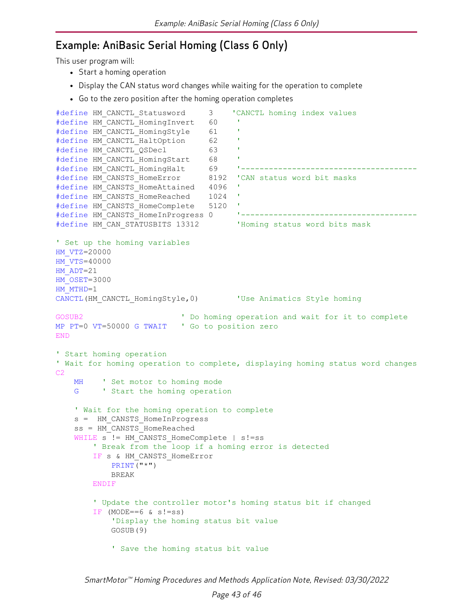### <span id="page-42-0"></span>Example: AniBasic Serial Homing (Class 6 Only)

This user program will:

- Start a homing operation
- Display the CAN status word changes while waiting for the operation to complete
- Go to the zero position after the homing operation completes

```
#define HM_CANCTL_Statusword     3    'CANCTL homing index values
#define HM_CANCTL_HomingInvert   60    '
#define HM_CANCTL_HomingStyle    61    '
#define HM_CANCTL_HaltOption     62    '
#define HM_CANCTL_QSDecl         63    '
#define HM_CANCTL_HomingStart    68    '
#define HM_CANCTL_HomingHalt     69    '--------------------------------------
#define HM_CANSTS_HomeError     8192  'CAN status word bit masks
#define HM_CANSTS_HomeAttained   4096  '
#define HM_CANSTS_HomeReached    1024  '
#define HM_CANSTS_HomeComplete   5120  '
#define HM_CANSTS_HomeInProgress 0     '--------------------------------------
#define HM_CAN_STATUSBITS 13312    'Homing status word bits mask
' Set up the homing variables
HM_VTZ=20000  
HM_VTS=40000  
HM_ADT=21
HM_OSET=3000  
HM_MTHD=1
CANCTL(HM_CANCTL_HomingStyle,0) 'Use Animatics Style homing
GOSUB2 ' Do homing operation and wait for it to complete
MP PT=0 VT=50000 G TWAIT ' Go to position zero
END
' Start homing operation
' Wait for homing operation to complete, displaying homing status word changes
C2MH ' Set motor to homing mode
    G <sup>'</sup> Start the homing operation
    ' Wait for the homing operation to complete
        s =  HM_CANSTS_HomeInProgress
        ss = HM_CANSTS_HomeReached
    WHILE s != HM CANSTS HomeComplete | s!=ss
        ' Break from the loop if a homing error is detected
        IF s & HM_CANSTS_HomeError
           PRINT("*")
                        BREAK
         ENDIF
        ' Update the controller motor's homing status bit if changed
        IF (MODE==6 \& s!=ss)
            'Display the homing status bit value
                        GOSUB(9)
             ' Save the homing status bit value
```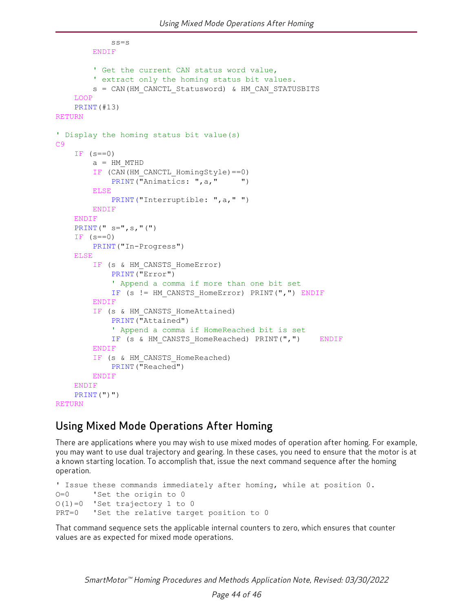```
            ss=s
        ENDIF
                ' Get the current CAN status word value,
         ' extract only the homing status bit values.
                s = CAN(HM_CANCTL_Statusword) & HM_CAN_STATUSBITS
    LOOP
    PRINT(#13)
RETURN
' Display the homing status bit value(s)
C9
    IF (s==0)a = HM MTHD
        IF (CAN(HM_CANCTL_HomingStyle)==0)
            PRINT("Animatics: ", a, " ")
        ELSE
            PRINT("Interruptible: ", a, " ")
        ENDIF
    ENDIF
    PRINT(" s = ", s, "(")
    IF (s==0)PRINT("In-Progress")
    ELSE
        IF (s & HM_CANSTS_HomeError)
            PRINT("Error")
              ' Append a comma if more than one bit set
            IF (s != HM_CANSTS_HomeError) PRINT(",") ENDIF
        ENDIF
        IF (s & HM CANSTS HomeAttained)
            PRINT("Attained")
             ' Append a comma if HomeReached bit is set
            IF (s & HM CANSTS HomeReached) PRINT(",")    ENDIF
        ENDIF
        IF (s & HM CANSTS HomeReached)
            PRINT("Reached")
        ENDIF
    ENDIF
    PRINT(")")
RETURN
```
### <span id="page-43-0"></span>Using Mixed Mode Operations After Homing

There are applications where you may wish to use mixed modes of operation after homing. For example, you may want to use dual trajectory and gearing. In these cases, you need to ensure that the motor is at a known starting location. To accomplish that, issue the next command sequence after the homing operation.

```
' Issue these commands immediately after homing, while at position 0.
O=0 'Set the origin to 0
O(1)=0 'Set trajectory 1 to 0
PRT=0 'Set the relative target position to 0
```
That command sequence sets the applicable internal counters to zero, which ensures that counter values are as expected for mixed mode operations.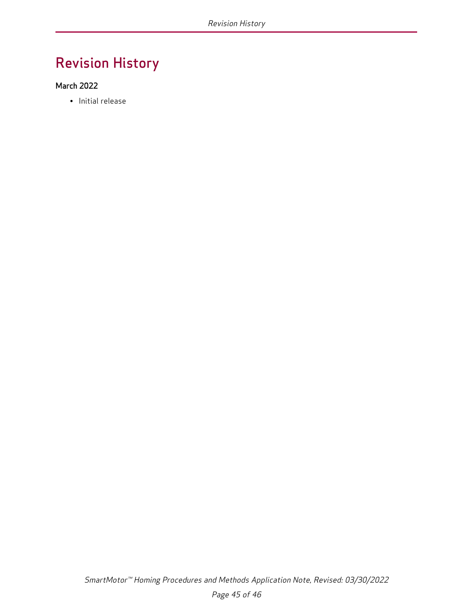# <span id="page-44-0"></span>Revision History

#### March 2022

• Initial release